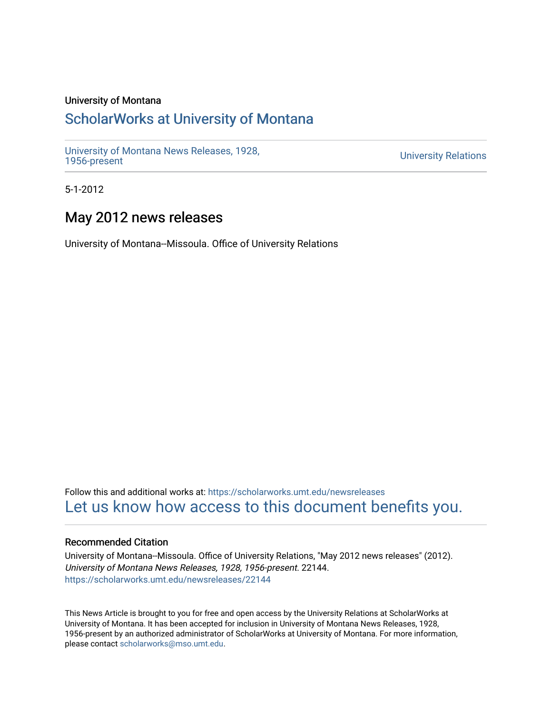# University of Montana

# [ScholarWorks at University of Montana](https://scholarworks.umt.edu/)

[University of Montana News Releases, 1928,](https://scholarworks.umt.edu/newsreleases) 

**University Relations** 

5-1-2012

# May 2012 news releases

University of Montana--Missoula. Office of University Relations

Follow this and additional works at: [https://scholarworks.umt.edu/newsreleases](https://scholarworks.umt.edu/newsreleases?utm_source=scholarworks.umt.edu%2Fnewsreleases%2F22144&utm_medium=PDF&utm_campaign=PDFCoverPages) [Let us know how access to this document benefits you.](https://goo.gl/forms/s2rGfXOLzz71qgsB2) 

# Recommended Citation

University of Montana--Missoula. Office of University Relations, "May 2012 news releases" (2012). University of Montana News Releases, 1928, 1956-present. 22144. [https://scholarworks.umt.edu/newsreleases/22144](https://scholarworks.umt.edu/newsreleases/22144?utm_source=scholarworks.umt.edu%2Fnewsreleases%2F22144&utm_medium=PDF&utm_campaign=PDFCoverPages) 

This News Article is brought to you for free and open access by the University Relations at ScholarWorks at University of Montana. It has been accepted for inclusion in University of Montana News Releases, 1928, 1956-present by an authorized administrator of ScholarWorks at University of Montana. For more information, please contact [scholarworks@mso.umt.edu.](mailto:scholarworks@mso.umt.edu)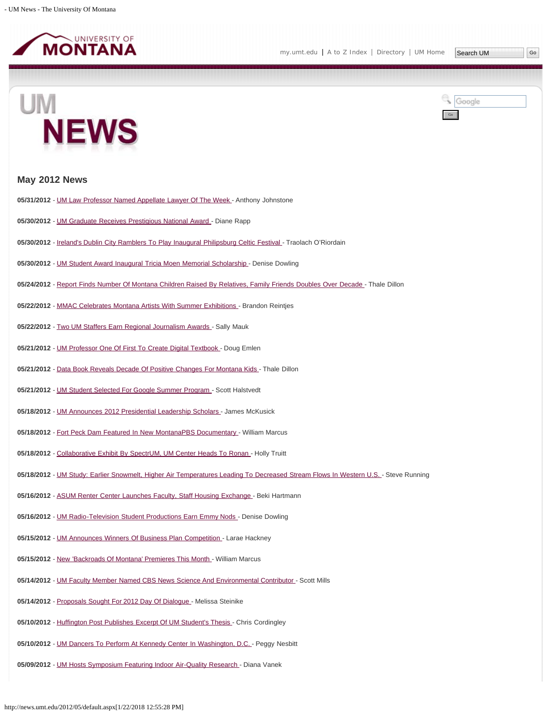

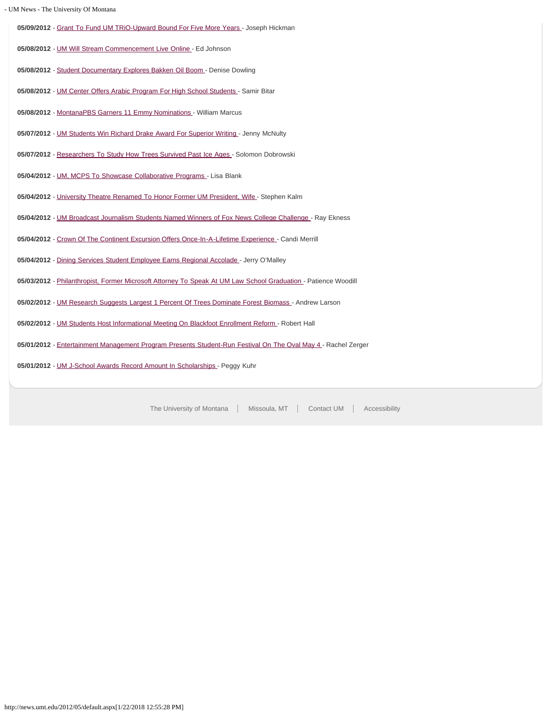|  |  | - UM News - The University Of Montana |
|--|--|---------------------------------------|

| 05/09/2012 - Grant To Fund UM TRiO-Upward Bound For Five More Years - Joseph Hickman                           |
|----------------------------------------------------------------------------------------------------------------|
| 05/08/2012 - UM Will Stream Commencement Live Online - Ed Johnson                                              |
| 05/08/2012 - Student Documentary Explores Bakken Oil Boom - Denise Dowling                                     |
| 05/08/2012 - UM Center Offers Arabic Program For High School Students - Samir Bitar                            |
| 05/08/2012 - MontanaPBS Garners 11 Emmy Nominations - William Marcus                                           |
| 05/07/2012 - UM Students Win Richard Drake Award For Superior Writing - Jenny McNulty                          |
| 05/07/2012 - Researchers To Study How Trees Survived Past Ice Ages - Solomon Dobrowski                         |
| 05/04/2012 - UM. MCPS To Showcase Collaborative Programs - Lisa Blank                                          |
| 05/04/2012 - University Theatre Renamed To Honor Former UM President, Wife - Stephen Kalm                      |
| 05/04/2012 - UM Broadcast Journalism Students Named Winners of Fox News College Challenge - Ray Ekness         |
| 05/04/2012 - Crown Of The Continent Excursion Offers Once-In-A-Lifetime Experience - Candi Merrill             |
| 05/04/2012 - Dining Services Student Employee Earns Regional Accolade - Jerry O'Malley                         |
| 05/03/2012 - Philanthropist, Former Microsoft Attorney To Speak At UM Law School Graduation - Patience Woodill |
| 05/02/2012 - UM Research Suggests Largest 1 Percent Of Trees Dominate Forest Biomass - Andrew Larson           |
| 05/02/2012 - UM Students Host Informational Meeting On Blackfoot Enrollment Reform - Robert Hall               |
| 05/01/2012 - Entertainment Management Program Presents Student-Run Festival On The Oval May 4 - Rachel Zerger  |
| 05/01/2012 - UM J-School Awards Record Amount In Scholarships - Peggy Kuhr                                     |
|                                                                                                                |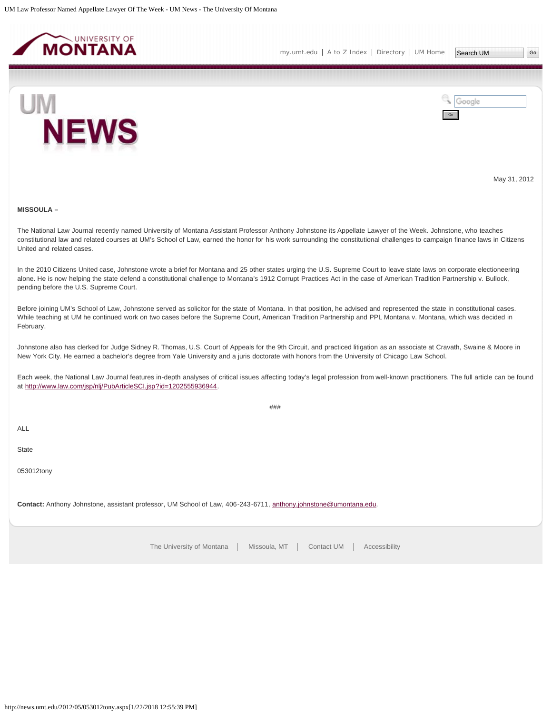<span id="page-3-0"></span>



May 31, 2012

#### **MISSOULA –**

The National Law Journal recently named University of Montana Assistant Professor Anthony Johnstone its Appellate Lawyer of the Week. Johnstone, who teaches constitutional law and related courses at UM's School of Law, earned the honor for his work surrounding the constitutional challenges to campaign finance laws in Citizens United and related cases.

In the 2010 Citizens United case, Johnstone wrote a brief for Montana and 25 other states urging the U.S. Supreme Court to leave state laws on corporate electioneering alone. He is now helping the state defend a constitutional challenge to Montana's 1912 Corrupt Practices Act in the case of American Tradition Partnership v. Bullock, pending before the U.S. Supreme Court.

Before joining UM's School of Law, Johnstone served as solicitor for the state of Montana. In that position, he advised and represented the state in constitutional cases. While teaching at UM he continued work on two cases before the Supreme Court, American Tradition Partnership and PPL Montana v. Montana, which was decided in February.

Johnstone also has clerked for Judge Sidney R. Thomas, U.S. Court of Appeals for the 9th Circuit, and practiced litigation as an associate at Cravath, Swaine & Moore in New York City. He earned a bachelor's degree from Yale University and a juris doctorate with honors from the University of Chicago Law School.

Each week, the National Law Journal features in-depth analyses of critical issues affecting today's legal profession from well-known practitioners. The full article can be found at<http://www.law.com/jsp/nlj/PubArticleSCI.jsp?id=1202555936944>.

###

ALL

**State** 

053012tony

**Contact:** Anthony Johnstone, assistant professor, UM School of Law, 406-243-6711, [anthony.johnstone@umontana.edu](mailto:anthony.johnstone@umontana.edu).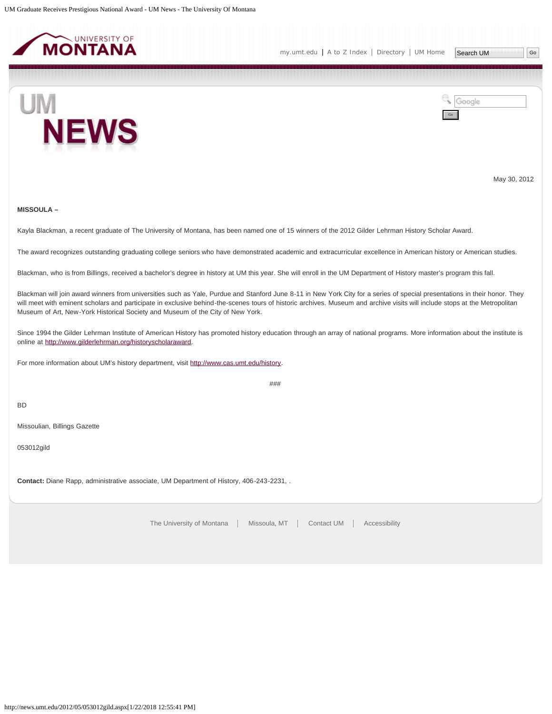<span id="page-4-0"></span>



May 30, 2012

# **MISSOULA –**

Kayla Blackman, a recent graduate of The University of Montana, has been named one of 15 winners of the 2012 Gilder Lehrman History Scholar Award.

The award recognizes outstanding graduating college seniors who have demonstrated academic and extracurricular excellence in American history or American studies.

Blackman, who is from Billings, received a bachelor's degree in history at UM this year. She will enroll in the UM Department of History master's program this fall.

Blackman will join award winners from universities such as Yale, Purdue and Stanford June 8-11 in New York City for a series of special presentations in their honor. They will meet with eminent scholars and participate in exclusive behind-the-scenes tours of historic archives. Museum and archive visits will include stops at the Metropolitan Museum of Art, New-York Historical Society and Museum of the City of New York.

Since 1994 the Gilder Lehrman Institute of American History has promoted history education through an array of national programs. More information about the institute is online at<http://www.gilderlehrman.org/historyscholaraward>.

For more information about UM's history department, visit<http://www.cas.umt.edu/history>.

###

BD

Missoulian, Billings Gazette

053012gild

**Contact:** Diane Rapp, administrative associate, UM Department of History, 406-243-2231, .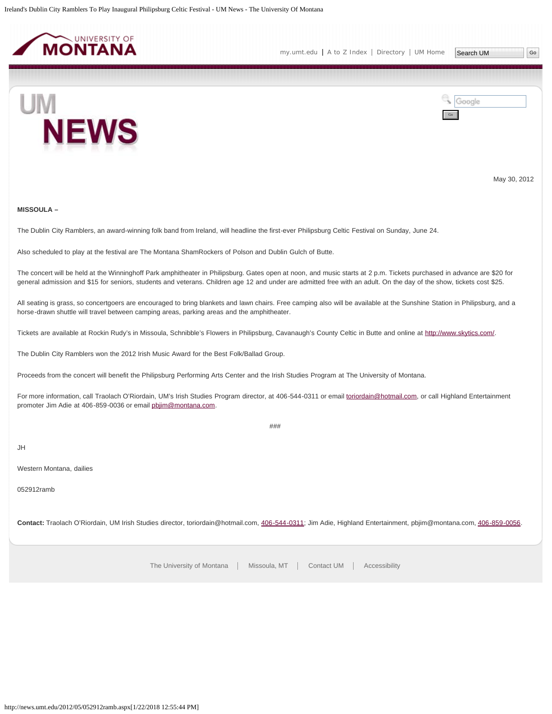<span id="page-5-0"></span>



May 30, 2012

# **MISSOULA –**

The Dublin City Ramblers, an award-winning folk band from Ireland, will headline the first-ever Philipsburg Celtic Festival on Sunday, June 24.

Also scheduled to play at the festival are The Montana ShamRockers of Polson and Dublin Gulch of Butte.

The concert will be held at the Winninghoff Park amphitheater in Philipsburg. Gates open at noon, and music starts at 2 p.m. Tickets purchased in advance are \$20 for general admission and \$15 for seniors, students and veterans. Children age 12 and under are admitted free with an adult. On the day of the show, tickets cost \$25.

All seating is grass, so concertgoers are encouraged to bring blankets and lawn chairs. Free camping also will be available at the Sunshine Station in Philipsburg, and a horse-drawn shuttle will travel between camping areas, parking areas and the amphitheater.

Tickets are available at Rockin Rudy's in Missoula, Schnibble's Flowers in Philipsburg, Cavanaugh's County Celtic in Butte and online at [http://www.skytics.com/.](http://www.skytics.com/)

The Dublin City Ramblers won the 2012 Irish Music Award for the Best Folk/Ballad Group.

Proceeds from the concert will benefit the Philipsburg Performing Arts Center and the Irish Studies Program at The University of Montana.

For more information, call Traolach O'Riordain, UM's Irish Studies Program director, at 406-544-0311 or email [toriordain@hotmail.com](mailto:toriordain@hotmail.com), or call Highland Entertainment promoter Jim Adie at 406-859-0036 or email [pbjim@montana.com](mailto:pbjim@montana.com).

###

#### JH

Western Montana, dailies

052912ramb

**Contact:** Traolach O'Riordain, UM Irish Studies director, toriordain@hotmail.com, [406-544-0311](mailto:406-544-0311); Jim Adie, Highland Entertainment, pbjim@montana.com, [406-859-0056](mailto:406-859-0056).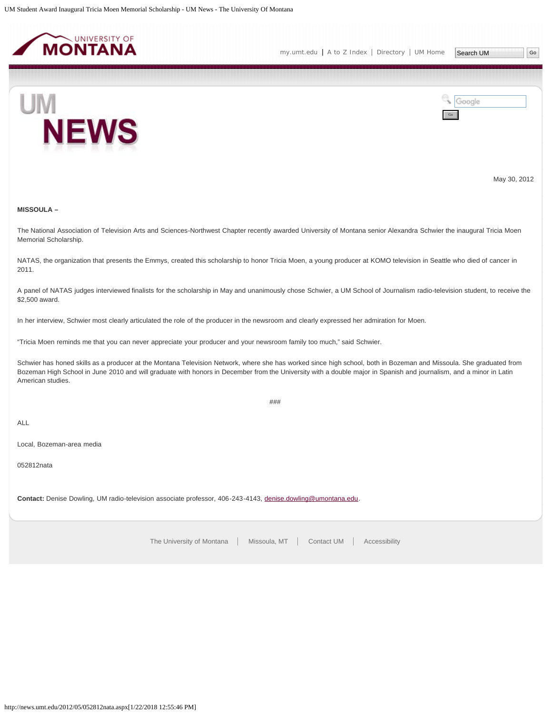<span id="page-6-0"></span>



May 30, 2012

# **MISSOULA –**

The National Association of Television Arts and Sciences-Northwest Chapter recently awarded University of Montana senior Alexandra Schwier the inaugural Tricia Moen Memorial Scholarship.

NATAS, the organization that presents the Emmys, created this scholarship to honor Tricia Moen, a young producer at KOMO television in Seattle who died of cancer in 2011.

A panel of NATAS judges interviewed finalists for the scholarship in May and unanimously chose Schwier, a UM School of Journalism radio-television student, to receive the \$2,500 award.

In her interview, Schwier most clearly articulated the role of the producer in the newsroom and clearly expressed her admiration for Moen.

"Tricia Moen reminds me that you can never appreciate your producer and your newsroom family too much," said Schwier.

Schwier has honed skills as a producer at the Montana Television Network, where she has worked since high school, both in Bozeman and Missoula. She graduated from Bozeman High School in June 2010 and will graduate with honors in December from the University with a double major in Spanish and journalism, and a minor in Latin American studies.

###

ALL

Local, Bozeman-area media

052812nata

**Contact:** Denise Dowling, UM radio-television associate professor, 406-243-4143, [denise.dowling@umontana.edu.](mailto:denise.dowling@umontana.edu)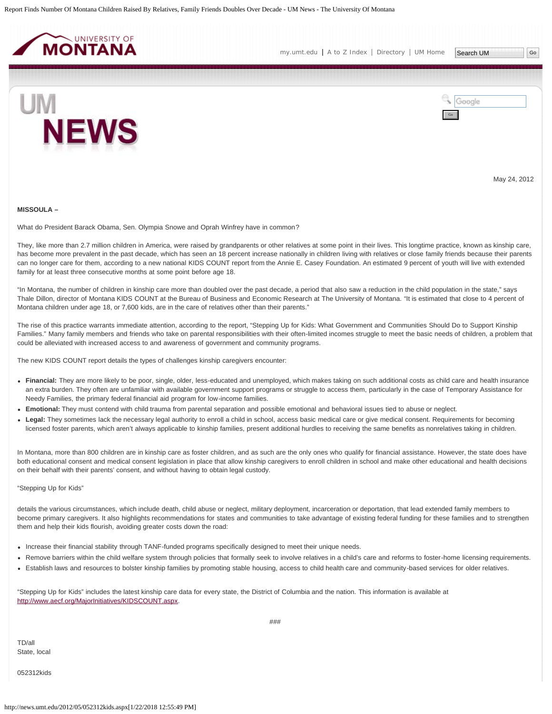<span id="page-7-0"></span>

[my.umt.edu](http://my.umt.edu/) | [A to Z Index](http://www.umt.edu/search/atoz/) | [Directory](http://www.umt.edu/directory/) | [UM Home](http://www.umt.edu/)

Search UM



Google Go

May 24, 2012

# **MISSOULA –**

What do President Barack Obama, Sen. Olympia Snowe and Oprah Winfrey have in common?

They, like more than 2.7 million children in America, were raised by grandparents or other relatives at some point in their lives. This longtime practice, known as kinship care, has become more prevalent in the past decade, which has seen an 18 percent increase nationally in children living with relatives or close family friends because their parents can no longer care for them, according to a new national KIDS COUNT report from the Annie E. Casey Foundation. An estimated 9 percent of youth will live with extended family for at least three consecutive months at some point before age 18.

"In Montana, the number of children in kinship care more than doubled over the past decade, a period that also saw a reduction in the child population in the state," says Thale Dillon, director of Montana KIDS COUNT at the Bureau of Business and Economic Research at The University of Montana. "It is estimated that close to 4 percent of Montana children under age 18, or 7,600 kids, are in the care of relatives other than their parents."

The rise of this practice warrants immediate attention, according to the report, "Stepping Up for Kids: What Government and Communities Should Do to Support Kinship Families." Many family members and friends who take on parental responsibilities with their often-limited incomes struggle to meet the basic needs of children, a problem that could be alleviated with increased access to and awareness of government and community programs.

The new KIDS COUNT report details the types of challenges kinship caregivers encounter:

- **Financial:** They are more likely to be poor, single, older, less-educated and unemployed, which makes taking on such additional costs as child care and health insurance an extra burden. They often are unfamiliar with available government support programs or struggle to access them, particularly in the case of Temporary Assistance for Needy Families, the primary federal financial aid program for low-income families.
- **Emotional:** They must contend with child trauma from parental separation and possible emotional and behavioral issues tied to abuse or neglect.
- Legal: They sometimes lack the necessary legal authority to enroll a child in school, access basic medical care or give medical consent. Requirements for becoming licensed foster parents, which aren't always applicable to kinship families, present additional hurdles to receiving the same benefits as nonrelatives taking in children.

In Montana, more than 800 children are in kinship care as foster children, and as such are the only ones who qualify for financial assistance. However, the state does have both educational consent and medical consent legislation in place that allow kinship caregivers to enroll children in school and make other educational and health decisions on their behalf with their parents' consent, and without having to obtain legal custody.

"Stepping Up for Kids"

details the various circumstances, which include death, child abuse or neglect, military deployment, incarceration or deportation, that lead extended family members to become primary caregivers. It also highlights recommendations for states and communities to take advantage of existing federal funding for these families and to strengthen them and help their kids flourish, avoiding greater costs down the road:

- Increase their financial stability through TANF-funded programs specifically designed to meet their unique needs.
- Remove barriers within the child welfare system through policies that formally seek to involve relatives in a child's care and reforms to foster-home licensing requirements.
- Establish laws and resources to bolster kinship families by promoting stable housing, access to child health care and community-based services for older relatives.

"Stepping Up for Kids" includes the latest kinship care data for every state, the District of Columbia and the nation. This information is available at <http://www.aecf.org/MajorInitiatives/KIDSCOUNT.aspx>.

###

TD/all State, local

052312kids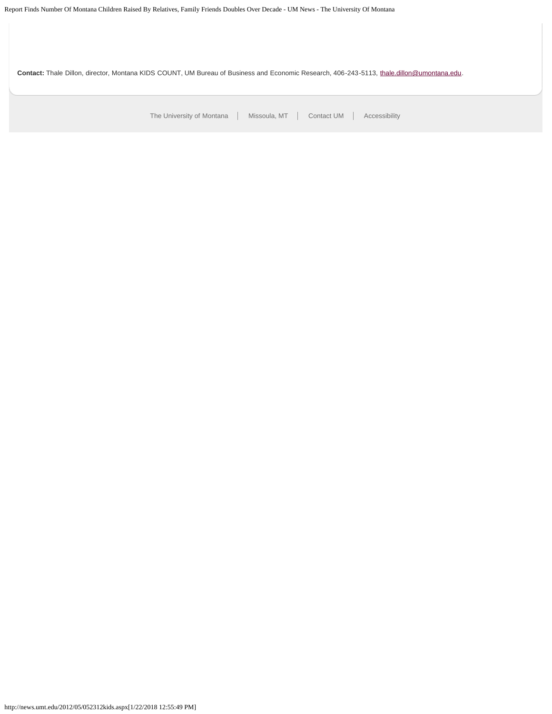**Contact:** Thale Dillon, director, Montana KIDS COUNT, UM Bureau of Business and Economic Research, 406-243-5113, [thale.dillon@umontana.edu.](mailto:thale.dillon@umontana.edu)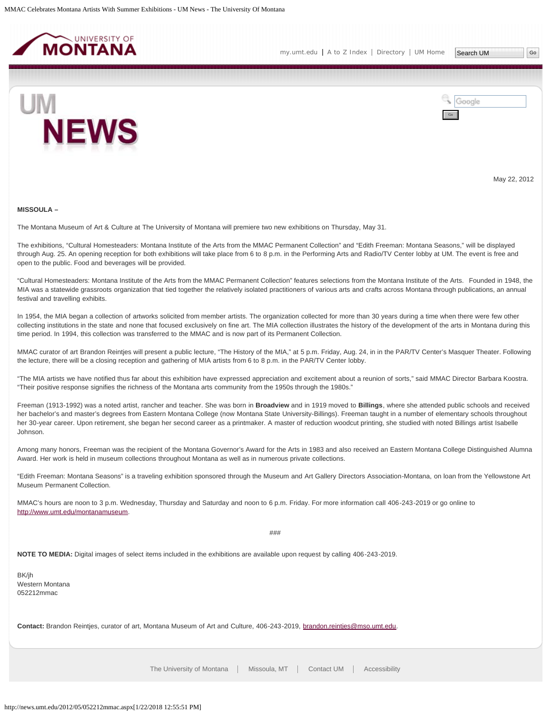<span id="page-9-0"></span>



May 22, 2012

#### **MISSOULA –**

The Montana Museum of Art & Culture at The University of Montana will premiere two new exhibitions on Thursday, May 31.

The exhibitions, "Cultural Homesteaders: Montana Institute of the Arts from the MMAC Permanent Collection" and "Edith Freeman: Montana Seasons," will be displayed through Aug. 25. An opening reception for both exhibitions will take place from 6 to 8 p.m. in the Performing Arts and Radio/TV Center lobby at UM. The event is free and open to the public. Food and beverages will be provided.

"Cultural Homesteaders: Montana Institute of the Arts from the MMAC Permanent Collection" features selections from the Montana Institute of the Arts. Founded in 1948, the MIA was a statewide grassroots organization that tied together the relatively isolated practitioners of various arts and crafts across Montana through publications, an annual festival and travelling exhibits.

In 1954, the MIA began a collection of artworks solicited from member artists. The organization collected for more than 30 years during a time when there were few other collecting institutions in the state and none that focused exclusively on fine art. The MIA collection illustrates the history of the development of the arts in Montana during this time period. In 1994, this collection was transferred to the MMAC and is now part of its Permanent Collection.

MMAC curator of art Brandon Reintjes will present a public lecture, "The History of the MIA," at 5 p.m. Friday, Aug. 24, in in the PAR/TV Center's Masquer Theater. Following the lecture, there will be a closing reception and gathering of MIA artists from 6 to 8 p.m. in the PAR/TV Center lobby.

"The MIA artists we have notified thus far about this exhibition have expressed appreciation and excitement about a reunion of sorts," said MMAC Director Barbara Koostra. "Their positive response signifies the richness of the Montana arts community from the 1950s through the 1980s."

Freeman (1913-1992) was a noted artist, rancher and teacher. She was born in **Broadview** and in 1919 moved to **Billings**, where she attended public schools and received her bachelor's and master's degrees from Eastern Montana College (now Montana State University-Billings). Freeman taught in a number of elementary schools throughout her 30-year career. Upon retirement, she began her second career as a printmaker. A master of reduction woodcut printing, she studied with noted Billings artist Isabelle Johnson.

Among many honors, Freeman was the recipient of the Montana Governor's Award for the Arts in 1983 and also received an Eastern Montana College Distinguished Alumna Award. Her work is held in museum collections throughout Montana as well as in numerous private collections.

"Edith Freeman: Montana Seasons" is a traveling exhibition sponsored through the Museum and Art Gallery Directors Association-Montana, on loan from the Yellowstone Art Museum Permanent Collection.

MMAC's hours are noon to 3 p.m. Wednesday, Thursday and Saturday and noon to 6 p.m. Friday. For more information call 406-243-2019 or go online to [http://www.umt.edu/montanamuseum.](http://www.umt.edu/montanamuseum)

###

**NOTE TO MEDIA:** Digital images of select items included in the exhibitions are available upon request by calling 406-243-2019.

BK/jh Western Montana 052212mmac

**Contact:** Brandon Reintjes, curator of art, Montana Museum of Art and Culture, 406-243-2019, [brandon.reintjes@mso.umt.edu.](mailto:brandon.reintjes@mso.umt.edu)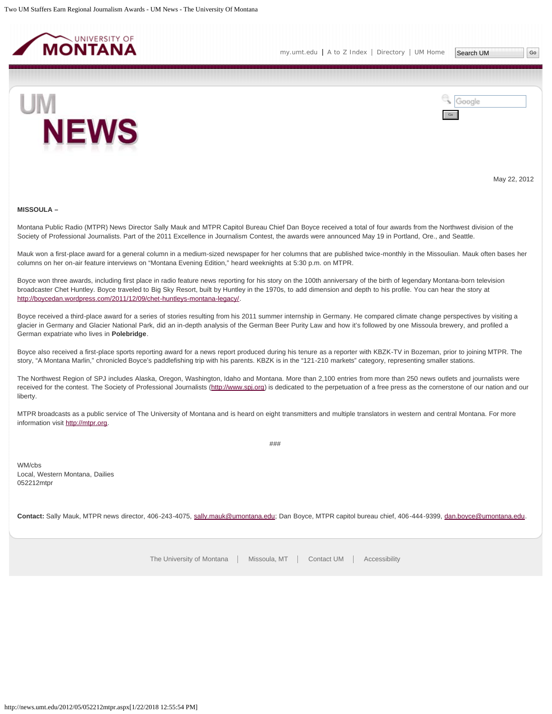<span id="page-11-0"></span>



May 22, 2012

#### **MISSOULA –**

Montana Public Radio (MTPR) News Director Sally Mauk and MTPR Capitol Bureau Chief Dan Boyce received a total of four awards from the Northwest division of the Society of Professional Journalists. Part of the 2011 Excellence in Journalism Contest, the awards were announced May 19 in Portland, Ore., and Seattle.

Mauk won a first-place award for a general column in a medium-sized newspaper for her columns that are published twice-monthly in the Missoulian. Mauk often bases her columns on her on-air feature interviews on "Montana Evening Edition," heard weeknights at 5:30 p.m. on MTPR.

Boyce won three awards, including first place in radio feature news reporting for his story on the 100th anniversary of the birth of legendary Montana-born television broadcaster Chet Huntley. Boyce traveled to Big Sky Resort, built by Huntley in the 1970s, to add dimension and depth to his profile. You can hear the story at [http://boycedan.wordpress.com/2011/12/09/chet-huntleys-montana-legacy/.](http://boycedan.wordpress.com/2011/12/09/chet-huntleys-montana-legacy/)

Boyce received a third-place award for a series of stories resulting from his 2011 summer internship in Germany. He compared climate change perspectives by visiting a glacier in Germany and Glacier National Park, did an in-depth analysis of the German Beer Purity Law and how it's followed by one Missoula brewery, and profiled a German expatriate who lives in **Polebridge**.

Boyce also received a first-place sports reporting award for a news report produced during his tenure as a reporter with KBZK-TV in Bozeman, prior to joining MTPR. The story, "A Montana Marlin," chronicled Boyce's paddlefishing trip with his parents. KBZK is in the "121-210 markets" category, representing smaller stations.

The Northwest Region of SPJ includes Alaska, Oregon, Washington, Idaho and Montana. More than 2,100 entries from more than 250 news outlets and journalists were received for the contest. The Society of Professional Journalists [\(http://www.spj.org](http://www.spj.org/)) is dedicated to the perpetuation of a free press as the cornerstone of our nation and our liberty.

MTPR broadcasts as a public service of The University of Montana and is heard on eight transmitters and multiple translators in western and central Montana. For more information visit [http://mtpr.org](http://mtpr.org/).

###

WM/cbs Local, Western Montana, Dailies 052212mtpr

**Contact:** Sally Mauk, MTPR news director, 406-243-4075, [sally.mauk@umontana.edu](mailto:sally.mauk@umontana.edu); Dan Boyce, MTPR capitol bureau chief, 406-444-9399, [dan.boyce@umontana.edu](mailto:dan.boyce@umontana.edu).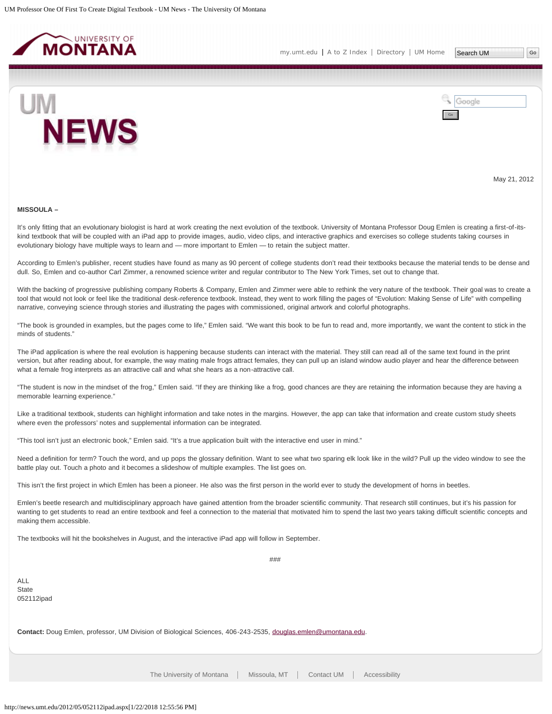<span id="page-12-0"></span>



May 21, 2012

#### **MISSOULA –**

It's only fitting that an evolutionary biologist is hard at work creating the next evolution of the textbook. University of Montana Professor Doug Emlen is creating a first-of-itskind textbook that will be coupled with an iPad app to provide images, audio, video clips, and interactive graphics and exercises so college students taking courses in evolutionary biology have multiple ways to learn and — more important to Emlen — to retain the subject matter.

According to Emlen's publisher, recent studies have found as many as 90 percent of college students don't read their textbooks because the material tends to be dense and dull. So, Emlen and co-author Carl Zimmer, a renowned science writer and regular contributor to The New York Times, set out to change that.

With the backing of progressive publishing company Roberts & Company, Emlen and Zimmer were able to rethink the very nature of the textbook. Their goal was to create a tool that would not look or feel like the traditional desk-reference textbook. Instead, they went to work filling the pages of "Evolution: Making Sense of Life" with compelling narrative, conveying science through stories and illustrating the pages with commissioned, original artwork and colorful photographs.

"The book is grounded in examples, but the pages come to life," Emlen said. "We want this book to be fun to read and, more importantly, we want the content to stick in the minds of students."

The iPad application is where the real evolution is happening because students can interact with the material. They still can read all of the same text found in the print version, but after reading about, for example, the way mating male frogs attract females, they can pull up an island window audio player and hear the difference between what a female frog interprets as an attractive call and what she hears as a non-attractive call.

"The student is now in the mindset of the frog," Emlen said. "If they are thinking like a frog, good chances are they are retaining the information because they are having a memorable learning experience."

Like a traditional textbook, students can highlight information and take notes in the margins. However, the app can take that information and create custom study sheets where even the professors' notes and supplemental information can be integrated.

"This tool isn't just an electronic book," Emlen said. "It's a true application built with the interactive end user in mind."

Need a definition for term? Touch the word, and up pops the glossary definition. Want to see what two sparing elk look like in the wild? Pull up the video window to see the battle play out. Touch a photo and it becomes a slideshow of multiple examples. The list goes on.

This isn't the first project in which Emlen has been a pioneer. He also was the first person in the world ever to study the development of horns in beetles.

Emlen's beetle research and multidisciplinary approach have gained attention from the broader scientific community. That research still continues, but it's his passion for wanting to get students to read an entire textbook and feel a connection to the material that motivated him to spend the last two years taking difficult scientific concepts and making them accessible.

###

The textbooks will hit the bookshelves in August, and the interactive iPad app will follow in September.

ALL **State** 052112ipad

**Contact:** Doug Emlen, professor, UM Division of Biological Sciences, 406-243-2535, [douglas.emlen@umontana.edu](mailto:douglas.emlen@umontana.edu).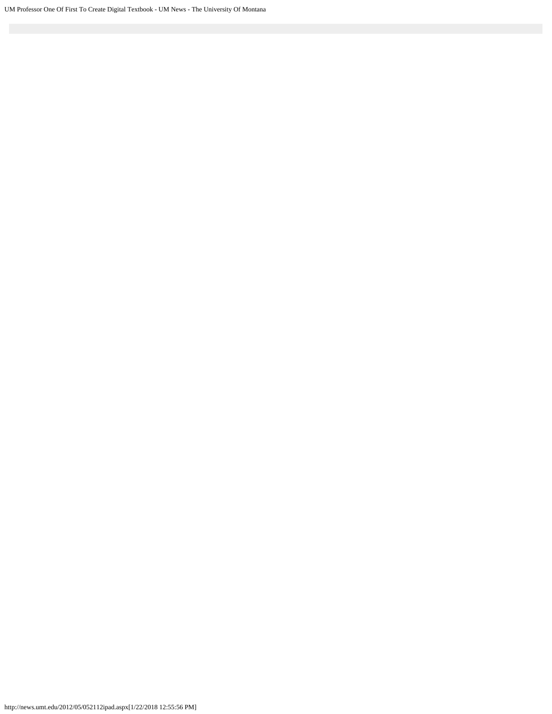UM Professor One Of First To Create Digital Textbook - UM News - The University Of Montana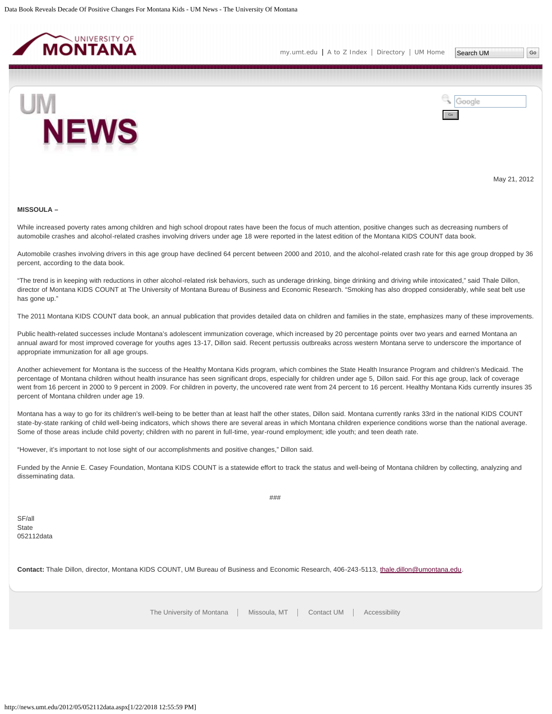<span id="page-14-0"></span>



May 21, 2012

#### **MISSOULA –**

While increased poverty rates among children and high school dropout rates have been the focus of much attention, positive changes such as decreasing numbers of automobile crashes and alcohol-related crashes involving drivers under age 18 were reported in the latest edition of the Montana KIDS COUNT data book.

Automobile crashes involving drivers in this age group have declined 64 percent between 2000 and 2010, and the alcohol-related crash rate for this age group dropped by 36 percent, according to the data book.

"The trend is in keeping with reductions in other alcohol-related risk behaviors, such as underage drinking, binge drinking and driving while intoxicated," said Thale Dillon, director of Montana KIDS COUNT at The University of Montana Bureau of Business and Economic Research. "Smoking has also dropped considerably, while seat belt use has gone up."

The 2011 Montana KIDS COUNT data book, an annual publication that provides detailed data on children and families in the state, emphasizes many of these improvements.

Public health-related successes include Montana's adolescent immunization coverage, which increased by 20 percentage points over two years and earned Montana an annual award for most improved coverage for youths ages 13-17, Dillon said. Recent pertussis outbreaks across western Montana serve to underscore the importance of appropriate immunization for all age groups.

Another achievement for Montana is the success of the Healthy Montana Kids program, which combines the State Health Insurance Program and children's Medicaid. The percentage of Montana children without health insurance has seen significant drops, especially for children under age 5, Dillon said. For this age group, lack of coverage went from 16 percent in 2000 to 9 percent in 2009. For children in poverty, the uncovered rate went from 24 percent to 16 percent. Healthy Montana Kids currently insures 35 percent of Montana children under age 19.

Montana has a way to go for its children's well-being to be better than at least half the other states, Dillon said. Montana currently ranks 33rd in the national KIDS COUNT state-by-state ranking of child well-being indicators, which shows there are several areas in which Montana children experience conditions worse than the national average. Some of those areas include child poverty; children with no parent in full-time, year-round employment; idle youth; and teen death rate.

"However, it's important to not lose sight of our accomplishments and positive changes," Dillon said.

Funded by the Annie E. Casey Foundation, Montana KIDS COUNT is a statewide effort to track the status and well-being of Montana children by collecting, analyzing and disseminating data.

###

SF/all **State** 052112data

**Contact:** Thale Dillon, director, Montana KIDS COUNT, UM Bureau of Business and Economic Research, 406-243-5113, [thale.dillon@umontana.edu.](mailto:thale.dillon@umontana.edu)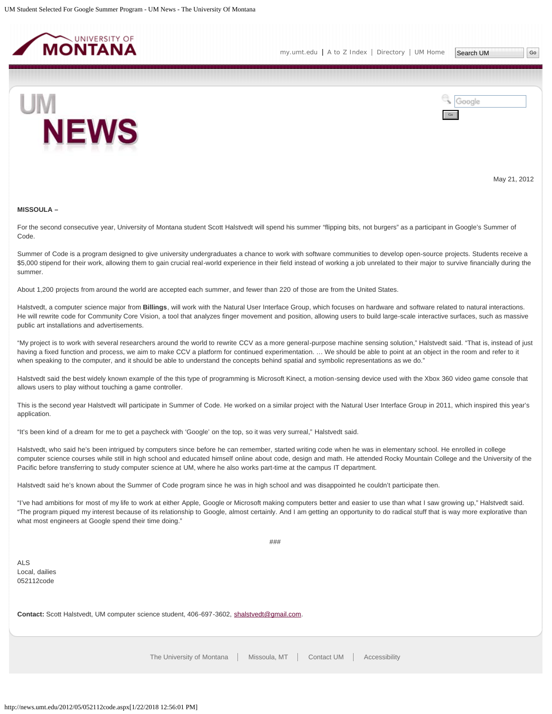<span id="page-15-0"></span>



May 21, 2012

#### **MISSOULA –**

For the second consecutive year, University of Montana student Scott Halstvedt will spend his summer "flipping bits, not burgers" as a participant in Google's Summer of Code.

Summer of Code is a program designed to give university undergraduates a chance to work with software communities to develop open-source projects. Students receive a \$5,000 stipend for their work, allowing them to gain crucial real-world experience in their field instead of working a job unrelated to their major to survive financially during the summer.

About 1,200 projects from around the world are accepted each summer, and fewer than 220 of those are from the United States.

Halstvedt, a computer science major from **Billings**, will work with the Natural User Interface Group, which focuses on hardware and software related to natural interactions. He will rewrite code for Community Core Vision, a tool that analyzes finger movement and position, allowing users to build large-scale interactive surfaces, such as massive public art installations and advertisements.

"My project is to work with several researchers around the world to rewrite CCV as a more general-purpose machine sensing solution," Halstvedt said. "That is, instead of just having a fixed function and process, we aim to make CCV a platform for continued experimentation. ... We should be able to point at an object in the room and refer to it when speaking to the computer, and it should be able to understand the concepts behind spatial and symbolic representations as we do."

Halstvedt said the best widely known example of the this type of programming is Microsoft Kinect, a motion-sensing device used with the Xbox 360 video game console that allows users to play without touching a game controller.

This is the second year Halstvedt will participate in Summer of Code. He worked on a similar project with the Natural User Interface Group in 2011, which inspired this year's application.

"It's been kind of a dream for me to get a paycheck with 'Google' on the top, so it was very surreal," Halstvedt said.

Halstvedt, who said he's been intrigued by computers since before he can remember, started writing code when he was in elementary school. He enrolled in college computer science courses while still in high school and educated himself online about code, design and math. He attended Rocky Mountain College and the University of the Pacific before transferring to study computer science at UM, where he also works part-time at the campus IT department.

Halstvedt said he's known about the Summer of Code program since he was in high school and was disappointed he couldn't participate then.

"I've had ambitions for most of my life to work at either Apple, Google or Microsoft making computers better and easier to use than what I saw growing up," Halstvedt said. "The program piqued my interest because of its relationship to Google, almost certainly. And I am getting an opportunity to do radical stuff that is way more explorative than what most engineers at Google spend their time doing."

###

ALS Local, dailies 052112code

**Contact:** Scott Halstvedt, UM computer science student, 406-697-3602, [shalstvedt@gmail.com.](mailto:shalstvedt@gmail.com)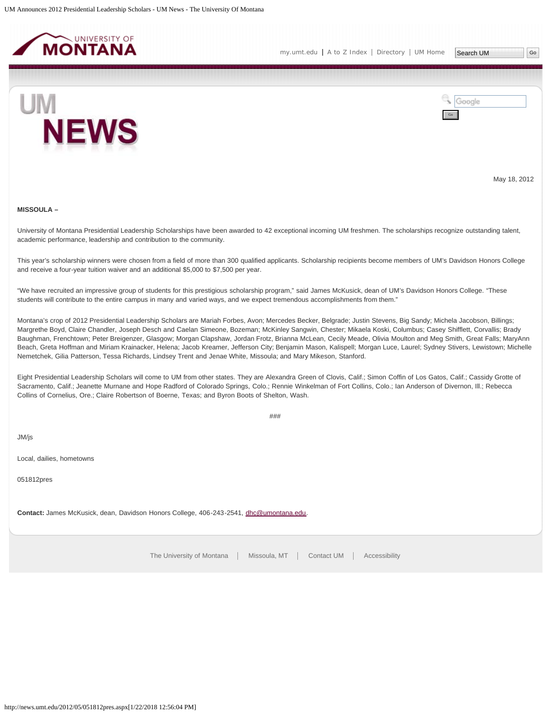<span id="page-16-0"></span>

[my.umt.edu](http://my.umt.edu/) | [A to Z Index](http://www.umt.edu/search/atoz/) | [Directory](http://www.umt.edu/directory/) | [UM Home](http://www.umt.edu/)

Search UM



Google Go

May 18, 2012

#### **MISSOULA –**

University of Montana Presidential Leadership Scholarships have been awarded to 42 exceptional incoming UM freshmen. The scholarships recognize outstanding talent, academic performance, leadership and contribution to the community.

This year's scholarship winners were chosen from a field of more than 300 qualified applicants. Scholarship recipients become members of UM's Davidson Honors College and receive a four-year tuition waiver and an additional \$5,000 to \$7,500 per year.

"We have recruited an impressive group of students for this prestigious scholarship program," said James McKusick, dean of UM's Davidson Honors College. "These students will contribute to the entire campus in many and varied ways, and we expect tremendous accomplishments from them."

Montana's crop of 2012 Presidential Leadership Scholars are Mariah Forbes, Avon; Mercedes Becker, Belgrade; Justin Stevens, Big Sandy; Michela Jacobson, Billings; Margrethe Boyd, Claire Chandler, Joseph Desch and Caelan Simeone, Bozeman; McKinley Sangwin, Chester; Mikaela Koski, Columbus; Casey Shifflett, Corvallis; Brady Baughman, Frenchtown; Peter Breigenzer, Glasgow; Morgan Clapshaw, Jordan Frotz, Brianna McLean, Cecily Meade, Olivia Moulton and Meg Smith, Great Falls; MaryAnn Beach, Greta Hoffman and Miriam Krainacker, Helena; Jacob Kreamer, Jefferson City; Benjamin Mason, Kalispell; Morgan Luce, Laurel; Sydney Stivers, Lewistown; Michelle Nemetchek, Gilia Patterson, Tessa Richards, Lindsey Trent and Jenae White, Missoula; and Mary Mikeson, Stanford.

Eight Presidential Leadership Scholars will come to UM from other states. They are Alexandra Green of Clovis, Calif.; Simon Coffin of Los Gatos, Calif.; Cassidy Grotte of Sacramento, Calif.; Jeanette Murnane and Hope Radford of Colorado Springs, Colo.; Rennie Winkelman of Fort Collins, Colo.; Ian Anderson of Divernon, Ill.; Rebecca Collins of Cornelius, Ore.; Claire Robertson of Boerne, Texas; and Byron Boots of Shelton, Wash.

###

JM/js

Local, dailies, hometowns

051812pres

**Contact:** James McKusick, dean, Davidson Honors College, 406-243-2541, [dhc@umontana.edu.](mailto:dhc@umontana.edu)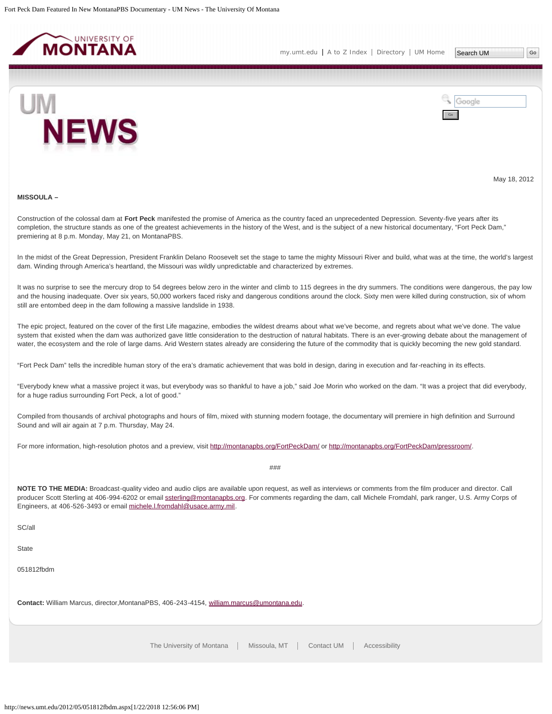<span id="page-17-0"></span>



May 18, 2012

#### **MISSOULA –**

Construction of the colossal dam at **Fort Peck** manifested the promise of America as the country faced an unprecedented Depression. Seventy-five years after its completion, the structure stands as one of the greatest achievements in the history of the West, and is the subject of a new historical documentary, "Fort Peck Dam," premiering at 8 p.m. Monday, May 21, on MontanaPBS.

In the midst of the Great Depression, President Franklin Delano Roosevelt set the stage to tame the mighty Missouri River and build, what was at the time, the world's largest dam. Winding through America's heartland, the Missouri was wildly unpredictable and characterized by extremes.

It was no surprise to see the mercury drop to 54 degrees below zero in the winter and climb to 115 degrees in the dry summers. The conditions were dangerous, the pay low and the housing inadequate. Over six years, 50,000 workers faced risky and dangerous conditions around the clock. Sixty men were killed during construction, six of whom still are entombed deep in the dam following a massive landslide in 1938.

The epic project, featured on the cover of the first Life magazine, embodies the wildest dreams about what we've become, and regrets about what we've done. The value system that existed when the dam was authorized gave little consideration to the destruction of natural habitats. There is an ever-growing debate about the management of water, the ecosystem and the role of large dams. Arid Western states already are considering the future of the commodity that is quickly becoming the new gold standard.

"Fort Peck Dam" tells the incredible human story of the era's dramatic achievement that was bold in design, daring in execution and far-reaching in its effects.

"Everybody knew what a massive project it was, but everybody was so thankful to have a job," said Joe Morin who worked on the dam. "It was a project that did everybody, for a huge radius surrounding Fort Peck, a lot of good."

Compiled from thousands of archival photographs and hours of film, mixed with stunning modern footage, the documentary will premiere in high definition and Surround Sound and will air again at 7 p.m. Thursday, May 24.

For more information, high-resolution photos and a preview, visit<http://montanapbs.org/FortPeckDam/> or<http://montanapbs.org/FortPeckDam/pressroom/>.

###

**NOTE TO THE MEDIA:** Broadcast-quality video and audio clips are available upon request, as well as interviews or comments from the film producer and director. Call producer Scott Sterling at 406-994-6202 or email [ssterling@montanapbs.org.](mailto:ssterling@montanapbs.org) For comments regarding the dam, call Michele Fromdahl, park ranger, U.S. Army Corps of Engineers, at 406-526-3493 or email [michele.l.fromdahl@usace.army.mil.](mailto:michele.l.fromdahl@usace.army.mil)

SC/all

**State** 

051812fbdm

**Contact:** William Marcus, director,MontanaPBS, 406-243-4154, [william.marcus@umontana.edu.](mailto:william.marcus@umontana.edu)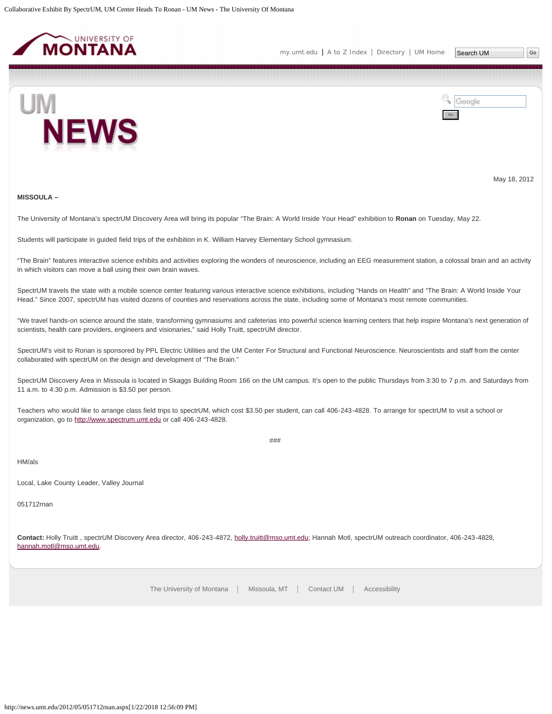<span id="page-18-0"></span>

Go

Google



May 18, 2012

# **MISSOULA –**

The University of Montana's spectrUM Discovery Area will bring its popular "The Brain: A World Inside Your Head" exhibition to **Ronan** on Tuesday, May 22.

Students will participate in guided field trips of the exhibition in K. William Harvey Elementary School gymnasium.

"The Brain" features interactive science exhibits and activities exploring the wonders of neuroscience, including an EEG measurement station, a colossal brain and an activity in which visitors can move a ball using their own brain waves.

SpectrUM travels the state with a mobile science center featuring various interactive science exhibitions, including "Hands on Health" and "The Brain: A World Inside Your Head." Since 2007, spectrUM has visited dozens of counties and reservations across the state, including some of Montana's most remote communities.

"We travel hands-on science around the state, transforming gymnasiums and cafeterias into powerful science learning centers that help inspire Montana's next generation of scientists, health care providers, engineers and visionaries," said Holly Truitt, spectrUM director.

SpectrUM's visit to Ronan is sponsored by PPL Electric Utilities and the UM Center For Structural and Functional Neuroscience. Neuroscientists and staff from the center collaborated with spectrUM on the design and development of "The Brain."

SpectrUM Discovery Area in Missoula is located in Skaggs Building Room 166 on the UM campus. It's open to the public Thursdays from 3:30 to 7 p.m. and Saturdays from 11 a.m. to 4:30 p.m. Admission is \$3.50 per person.

Teachers who would like to arrange class field trips to spectrUM, which cost \$3.50 per student, can call 406-243-4828. To arrange for spectrUM to visit a school or organization, go to [http://www.spectrum.umt.edu](http://www.spectrum.umt.edu/) or call 406-243-4828.

###

HM/als

Local, Lake County Leader, Valley Journal

051712rnan

Contact: Holly Truitt , spectrUM Discovery Area director, 406-243-4872, [holly.truitt@mso.umt.edu](mailto:holly.truitt@mso.umt.edu); Hannah Motl, spectrUM outreach coordinator, 406-243-4828, [hannah.motl@mso.umt.edu](mailto:hannah.motl@mso.umt.edu).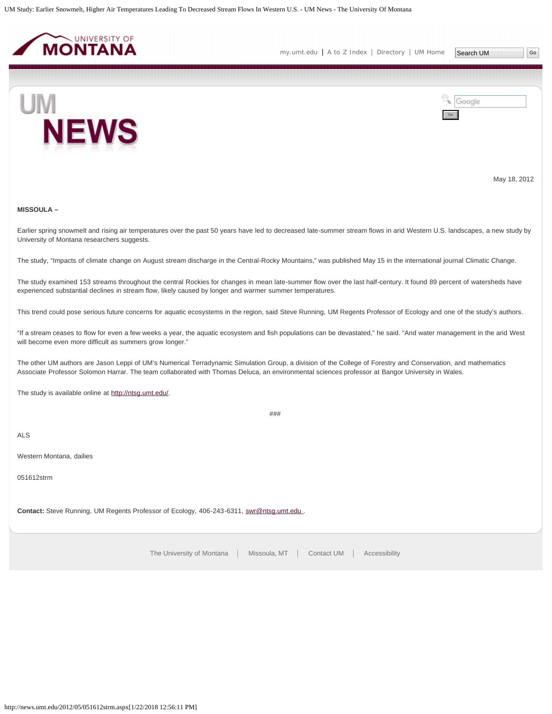<span id="page-19-0"></span>

[my.umt.edu](http://my.umt.edu/) | [A to Z Index](http://www.umt.edu/search/atoz/) | [Directory](http://www.umt.edu/directory/) | [UM Home](http://www.umt.edu/)





Google

Go

May 18, 2012

# **MISSOULA –**

Earlier spring snowmelt and rising air temperatures over the past 50 years have led to decreased late-summer stream flows in arid Western U.S. landscapes, a new study by University of Montana researchers suggests.

The study, "Impacts of climate change on August stream discharge in the Central-Rocky Mountains," was published May 15 in the international journal Climatic Change.

The study examined 153 streams throughout the central Rockies for changes in mean late-summer flow over the last half-century. It found 89 percent of watersheds have experienced substantial declines in stream flow, likely caused by longer and warmer summer temperatures.

This trend could pose serious future concerns for aquatic ecosystems in the region, said Steve Running, UM Regents Professor of Ecology and one of the study's authors.

"If a stream ceases to flow for even a few weeks a year, the aquatic ecosystem and fish populations can be devastated," he said. "And water management in the arid West will become even more difficult as summers grow longer."

The other UM authors are Jason Leppi of UM's Numerical Terradynamic Simulation Group, a division of the College of Forestry and Conservation, and mathematics Associate Professor Solomon Harrar. The team collaborated with Thomas Deluca, an environmental sciences professor at Bangor University in Wales.

The study is available online at<http://ntsg.umt.edu/>.

###

# ALS

Western Montana, dailies

051612strm

Contact: Steve Running, UM Regents Professor of Ecology, 406-243-6311, swr@ntsg.umt.edu.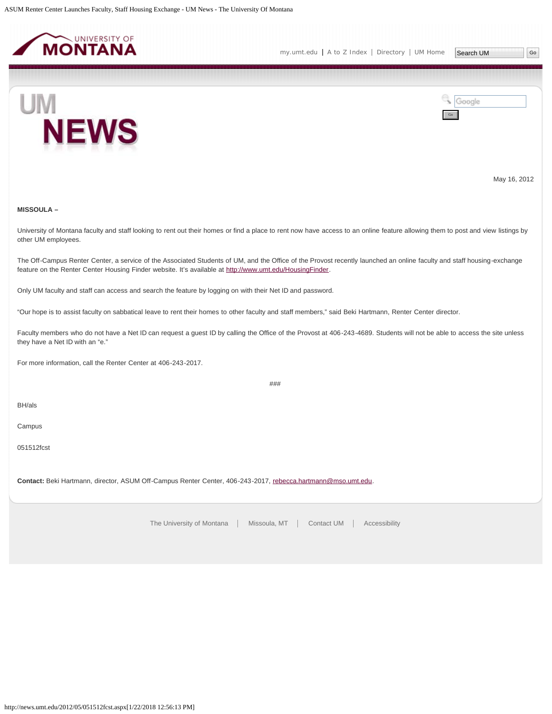<span id="page-20-0"></span>



May 16, 2012

# **MISSOULA –**

University of Montana faculty and staff looking to rent out their homes or find a place to rent now have access to an online feature allowing them to post and view listings by other UM employees.

The Off-Campus Renter Center, a service of the Associated Students of UM, and the Office of the Provost recently launched an online faculty and staff housing-exchange feature on the Renter Center Housing Finder website. It's available at<http://www.umt.edu/HousingFinder>.

Only UM faculty and staff can access and search the feature by logging on with their Net ID and password.

"Our hope is to assist faculty on sabbatical leave to rent their homes to other faculty and staff members," said Beki Hartmann, Renter Center director.

Faculty members who do not have a Net ID can request a guest ID by calling the Office of the Provost at 406-243-4689. Students will not be able to access the site unless they have a Net ID with an "e."

For more information, call the Renter Center at 406-243-2017.

###

BH/als

Campus

051512fcst

**Contact:** Beki Hartmann, director, ASUM Off-Campus Renter Center, 406-243-2017, [rebecca.hartmann@mso.umt.edu](mailto:rebecca.hartmann@mso.umt.edu).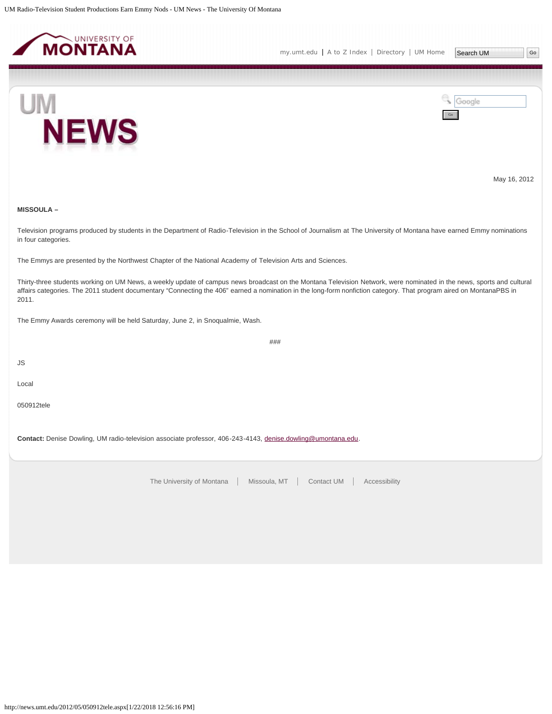<span id="page-21-0"></span>





May 16, 2012

# **MISSOULA –**

Television programs produced by students in the Department of Radio-Television in the School of Journalism at The University of Montana have earned Emmy nominations in four categories.

The Emmys are presented by the Northwest Chapter of the National Academy of Television Arts and Sciences.

Thirty-three students working on UM News, a weekly update of campus news broadcast on the Montana Television Network, were nominated in the news, sports and cultural affairs categories. The 2011 student documentary "Connecting the 406" earned a nomination in the long-form nonfiction category. That program aired on MontanaPBS in 2011.

###

The Emmy Awards ceremony will be held Saturday, June 2, in Snoqualmie, Wash.

JS

Local

050912tele

**Contact:** Denise Dowling, UM radio-television associate professor, 406-243-4143, [denise.dowling@umontana.edu.](mailto:denise.dowling@umontana.edu)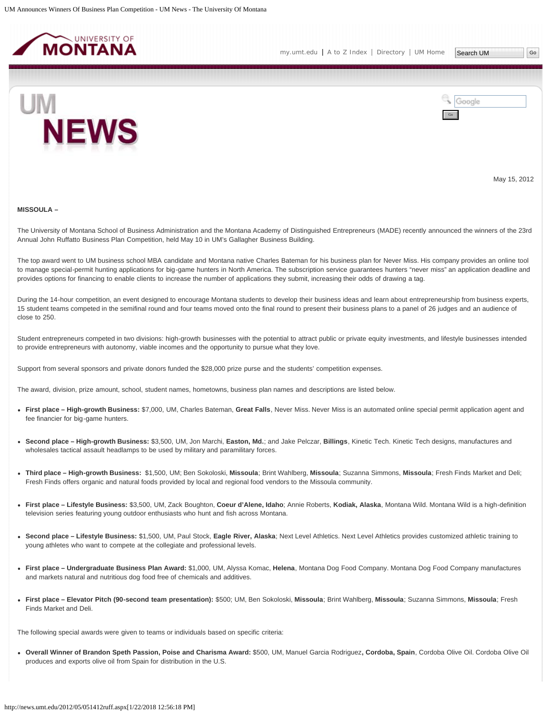<span id="page-22-0"></span>



May 15, 2012

#### **MISSOULA –**

The University of Montana School of Business Administration and the Montana Academy of Distinguished Entrepreneurs (MADE) recently announced the winners of the 23rd Annual John Ruffatto Business Plan Competition, held May 10 in UM's Gallagher Business Building.

The top award went to UM business school MBA candidate and Montana native Charles Bateman for his business plan for Never Miss. His company provides an online tool to manage special-permit hunting applications for big-game hunters in North America. The subscription service guarantees hunters "never miss" an application deadline and provides options for financing to enable clients to increase the number of applications they submit, increasing their odds of drawing a tag.

During the 14-hour competition, an event designed to encourage Montana students to develop their business ideas and learn about entrepreneurship from business experts, 15 student teams competed in the semifinal round and four teams moved onto the final round to present their business plans to a panel of 26 judges and an audience of close to 250.

Student entrepreneurs competed in two divisions: high-growth businesses with the potential to attract public or private equity investments, and lifestyle businesses intended to provide entrepreneurs with autonomy, viable incomes and the opportunity to pursue what they love.

Support from several sponsors and private donors funded the \$28,000 prize purse and the students' competition expenses.

The award, division, prize amount, school, student names, hometowns, business plan names and descriptions are listed below.

- **First place High-growth Business:** \$7,000, UM, Charles Bateman, **Great Falls**, Never Miss. Never Miss is an automated online special permit application agent and fee financier for big-game hunters.
- **Second place High-growth Business:** \$3,500, UM, Jon Marchi, **Easton, Md.**; and Jake Pelczar, **Billings**, Kinetic Tech. Kinetic Tech designs, manufactures and wholesales tactical assault headlamps to be used by military and paramilitary forces.
- **Third place High-growth Business:** \$1,500, UM; Ben Sokoloski, **Missoula**; Brint Wahlberg, **Missoula**; Suzanna Simmons, **Missoula**; Fresh Finds Market and Deli; Fresh Finds offers organic and natural foods provided by local and regional food vendors to the Missoula community.
- **First place Lifestyle Business:** \$3,500, UM, Zack Boughton, **Coeur d'Alene, Idaho**; Annie Roberts, **Kodiak, Alaska**, Montana Wild. Montana Wild is a high-definition television series featuring young outdoor enthusiasts who hunt and fish across Montana.
- **Second place Lifestyle Business:** \$1,500, UM, Paul Stock, **Eagle River, Alaska**; Next Level Athletics. Next Level Athletics provides customized athletic training to young athletes who want to compete at the collegiate and professional levels.
- **First place Undergraduate Business Plan Award:** \$1,000, UM, Alyssa Komac, **Helena**, Montana Dog Food Company. Montana Dog Food Company manufactures and markets natural and nutritious dog food free of chemicals and additives.
- **First place Elevator Pitch (90-second team presentation):** \$500; UM, Ben Sokoloski, **Missoula**; Brint Wahlberg, **Missoula**; Suzanna Simmons, **Missoula**; Fresh Finds Market and Deli.

The following special awards were given to teams or individuals based on specific criteria:

**Overall Winner of Brandon Speth Passion, Poise and Charisma Award:** \$500, UM, Manuel Garcia Rodriguez**, Cordoba, Spain**, Cordoba Olive Oil. Cordoba Olive Oil produces and exports olive oil from Spain for distribution in the U.S.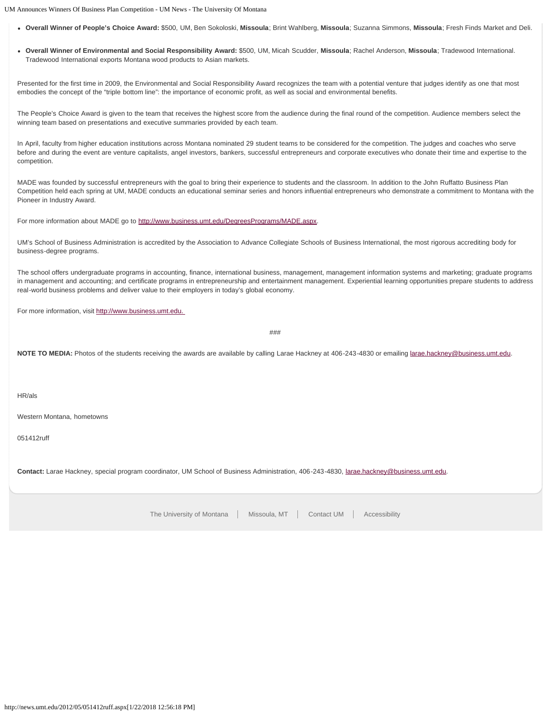UM Announces Winners Of Business Plan Competition - UM News - The University Of Montana

- **Overall Winner of People's Choice Award:** \$500, UM, Ben Sokoloski, **Missoula**; Brint Wahlberg, **Missoula**; Suzanna Simmons, **Missoula**; Fresh Finds Market and Deli.
- **Overall Winner of Environmental and Social Responsibility Award:** \$500, UM, Micah Scudder, **Missoula**; Rachel Anderson, **Missoula**; Tradewood International. Tradewood International exports Montana wood products to Asian markets.

Presented for the first time in 2009, the Environmental and Social Responsibility Award recognizes the team with a potential venture that judges identify as one that most embodies the concept of the "triple bottom line": the importance of economic profit, as well as social and environmental benefits.

The People's Choice Award is given to the team that receives the highest score from the audience during the final round of the competition. Audience members select the winning team based on presentations and executive summaries provided by each team.

In April, faculty from higher education institutions across Montana nominated 29 student teams to be considered for the competition. The judges and coaches who serve before and during the event are venture capitalists, angel investors, bankers, successful entrepreneurs and corporate executives who donate their time and expertise to the competition.

MADE was founded by successful entrepreneurs with the goal to bring their experience to students and the classroom. In addition to the John Ruffatto Business Plan Competition held each spring at UM, MADE conducts an educational seminar series and honors influential entrepreneurs who demonstrate a commitment to Montana with the Pioneer in Industry Award.

For more information about MADE go to [http://www.business.umt.edu/DegreesPrograms/MADE.aspx.](http://www.business.umt.edu/DegreesPrograms/MADE.aspx)

UM's School of Business Administration is accredited by the Association to Advance Collegiate Schools of Business International, the most rigorous accrediting body for business-degree programs.

The school offers undergraduate programs in accounting, finance, international business, management, management information systems and marketing; graduate programs in management and accounting; and certificate programs in entrepreneurship and entertainment management. Experiential learning opportunities prepare students to address real-world business problems and deliver value to their employers in today's global economy.

For more information, visit [http://www.business.umt.edu.](http://www.business.umt.edu. %0d/)

###

NOTE TO MEDIA: Photos of the students receiving the awards are available by calling Larae Hackney at 406-243-4830 or emailing [larae.hackney@business.umt.edu.](mailto:larae.hackney@business.umt.edu)

HR/als

Western Montana, hometowns

051412ruff

**Contact:** Larae Hackney, special program coordinator, UM School of Business Administration, 406-243-4830, [larae.hackney@business.umt.edu.](mailto:larae.hackney@business.umt.edu)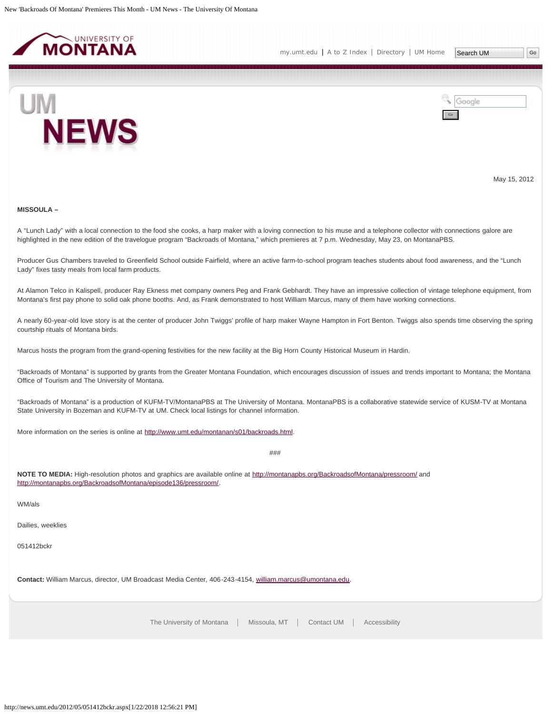<span id="page-24-0"></span>



May 15, 2012

#### **MISSOULA –**

A "Lunch Lady" with a local connection to the food she cooks, a harp maker with a loving connection to his muse and a telephone collector with connections galore are highlighted in the new edition of the travelogue program "Backroads of Montana," which premieres at 7 p.m. Wednesday, May 23, on MontanaPBS.

Producer Gus Chambers traveled to Greenfield School outside Fairfield, where an active farm-to-school program teaches students about food awareness, and the "Lunch Lady" fixes tasty meals from local farm products.

At Alamon Telco in Kalispell, producer Ray Ekness met company owners Peg and Frank Gebhardt. They have an impressive collection of vintage telephone equipment, from Montana's first pay phone to solid oak phone booths. And, as Frank demonstrated to host William Marcus, many of them have working connections.

A nearly 60-year-old love story is at the center of producer John Twiggs' profile of harp maker Wayne Hampton in Fort Benton. Twiggs also spends time observing the spring courtship rituals of Montana birds.

Marcus hosts the program from the grand-opening festivities for the new facility at the Big Horn County Historical Museum in Hardin.

"Backroads of Montana" is supported by grants from the Greater Montana Foundation, which encourages discussion of issues and trends important to Montana; the Montana Office of Tourism and The University of Montana.

"Backroads of Montana" is a production of KUFM-TV/MontanaPBS at The University of Montana. MontanaPBS is a collaborative statewide service of KUSM-TV at Montana State University in Bozeman and KUFM-TV at UM. Check local listings for channel information.

More information on the series is online at [http://www.umt.edu/montanan/s01/backroads.html.](http://www.umt.edu/montanan/s01/backroads.html)

###

**NOTE TO MEDIA:** High-resolution photos and graphics are available online at<http://montanapbs.org/BackroadsofMontana/pressroom/> and <http://montanapbs.org/BackroadsofMontana/episode136/pressroom/>.

WM/als

Dailies, weeklies

051412bckr

**Contact:** William Marcus, director, UM Broadcast Media Center, 406-243-4154, [william.marcus@umontana.edu.](mailto:william.marcus@umontana.edu)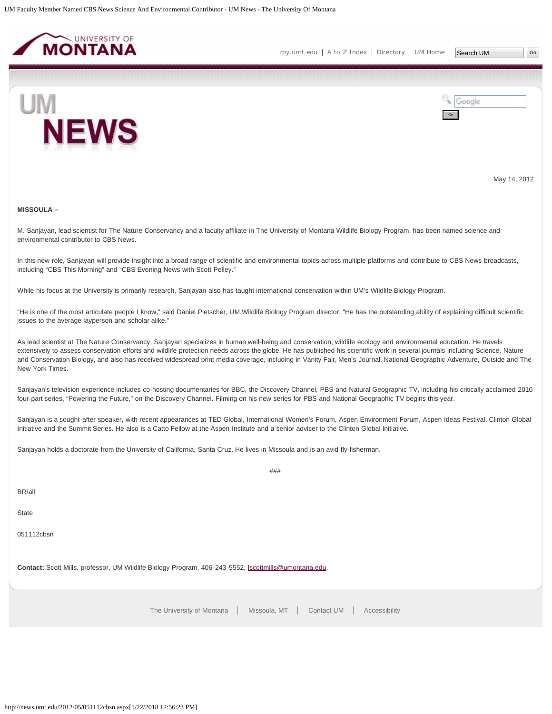<span id="page-25-0"></span>



Go

Google



May 14, 2012

#### **MISSOULA –**

M. Sanjayan, lead scientist for The Nature Conservancy and a faculty affiliate in The University of Montana Wildlife Biology Program, has been named science and environmental contributor to CBS News.

In this new role, Sanjayan will provide insight into a broad range of scientific and environmental topics across multiple platforms and contribute to CBS News broadcasts, including "CBS This Morning" and "CBS Evening News with Scott Pelley."

While his focus at the University is primarily research, Sanjayan also has taught international conservation within UM's Wildlife Biology Program.

"He is one of the most articulate people I know," said Daniel Pletscher, UM Wildlife Biology Program director. "He has the outstanding ability of explaining difficult scientific issues to the average layperson and scholar alike."

As lead scientist at The Nature Conservancy, Sanjayan specializes in human well-being and conservation, wildlife ecology and environmental education. He travels extensively to assess conservation efforts and wildlife protection needs across the globe. He has published his scientific work in several journals including Science, Nature and Conservation Biology, and also has received widespread print media coverage, including in Vanity Fair, Men's Journal, National Geographic Adventure, Outside and The New York Times.

Sanjayan's television experience includes co-hosting documentaries for BBC, the Discovery Channel, PBS and Natural Geographic TV, including his critically acclaimed 2010 four-part series, "Powering the Future," on the Discovery Channel. Filming on his new series for PBS and National Geographic TV begins this year.

Sanjayan is a sought-after speaker, with recent appearances at TED Global, International Women's Forum, Aspen Environment Forum, Aspen Ideas Festival, Clinton Global Initiative and the Summit Series. He also is a Catto Fellow at the Aspen Institute and a senior adviser to the Clinton Global Initiative.

###

Sanjayan holds a doctorate from the University of California, Santa Cruz. He lives in Missoula and is an avid fly-fisherman.

# BR/all

**State** 

051112cbsn

Contact: Scott Mills, professor, UM Wildlife Biology Program, 406-243-5552, [lscottmills@umontana.edu.](mailto:lscottmills@umontana.edu)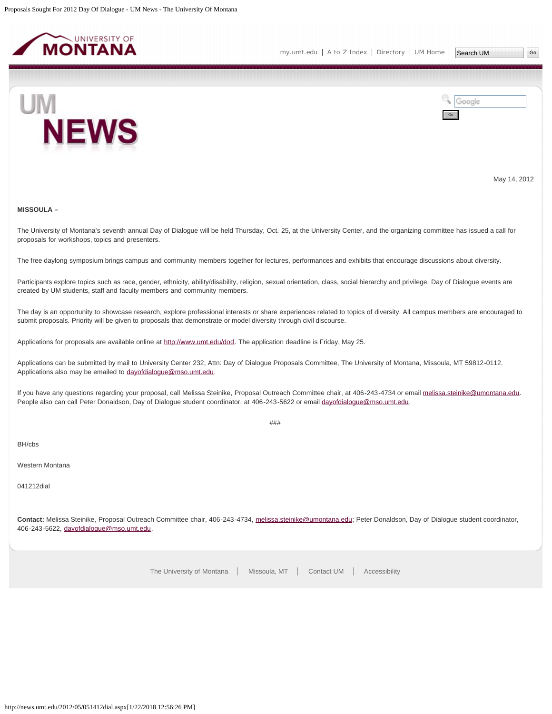<span id="page-26-0"></span>



May 14, 2012

# **MISSOULA –**

The University of Montana's seventh annual Day of Dialogue will be held Thursday, Oct. 25, at the University Center, and the organizing committee has issued a call for proposals for workshops, topics and presenters.

The free daylong symposium brings campus and community members together for lectures, performances and exhibits that encourage discussions about diversity.

Participants explore topics such as race, gender, ethnicity, ability/disability, religion, sexual orientation, class, social hierarchy and privilege. Day of Dialogue events are created by UM students, staff and faculty members and community members.

The day is an opportunity to showcase research, explore professional interests or share experiences related to topics of diversity. All campus members are encouraged to submit proposals. Priority will be given to proposals that demonstrate or model diversity through civil discourse.

Applications for proposals are available online at<http://www.umt.edu/dod>. The application deadline is Friday, May 25.

Applications can be submitted by mail to University Center 232, Attn: Day of Dialogue Proposals Committee, The University of Montana, Missoula, MT 59812-0112. Applications also may be emailed to [dayofdialogue@mso.umt.edu.](mailto:dayofdialogue@mso.umt.edu)

If you have any questions regarding your proposal, call Melissa Steinike, Proposal Outreach Committee chair, at 406-243-4734 or email [melissa.steinike@umontana.edu](mailto:melissa.steinike@umontana.edu). People also can call Peter Donaldson, Day of Dialogue student coordinator, at 406-243-5622 or email [dayofdialogue@mso.umt.edu.](mailto:dayofdialogue@mso.umt.edu)

###

BH/cbs

Western Montana

041212dial

**Contact:** Melissa Steinike, Proposal Outreach Committee chair, 406-243-4734, [melissa.steinike@umontana.edu;](mailto:melissa.steinike@umontana.edu) Peter Donaldson, Day of Dialogue student coordinator, 406-243-5622, [dayofdialogue@mso.umt.edu.](mailto:dayofdialogue@mso.umt.edu)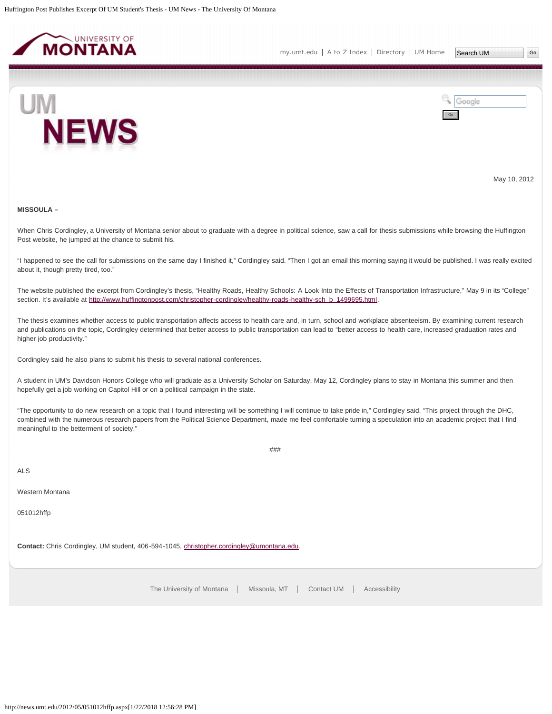<span id="page-27-0"></span>



May 10, 2012

# **MISSOULA –**

When Chris Cordingley, a University of Montana senior about to graduate with a degree in political science, saw a call for thesis submissions while browsing the Huffington Post website, he jumped at the chance to submit his.

"I happened to see the call for submissions on the same day I finished it," Cordingley said. "Then I got an email this morning saying it would be published. I was really excited about it, though pretty tired, too."

The website published the excerpt from Cordingley's thesis, "Healthy Roads, Healthy Schools: A Look Into the Effects of Transportation Infrastructure," May 9 in its "College" section. It's available at [http://www.huffingtonpost.com/christopher-cordingley/healthy-roads-healthy-sch\\_b\\_1499695.html.](http://www.huffingtonpost.com/christopher-cordingley/healthy-roads-healthy-sch_b_1499695.html)

The thesis examines whether access to public transportation affects access to health care and, in turn, school and workplace absenteeism. By examining current research and publications on the topic, Cordingley determined that better access to public transportation can lead to "better access to health care, increased graduation rates and higher job productivity."

Cordingley said he also plans to submit his thesis to several national conferences.

A student in UM's Davidson Honors College who will graduate as a University Scholar on Saturday, May 12, Cordingley plans to stay in Montana this summer and then hopefully get a job working on Capitol Hill or on a political campaign in the state.

"The opportunity to do new research on a topic that I found interesting will be something I will continue to take pride in," Cordingley said. "This project through the DHC, combined with the numerous research papers from the Political Science Department, made me feel comfortable turning a speculation into an academic project that I find meaningful to the betterment of society."

###

ALS

Western Montana

051012hffp

**Contact:** Chris Cordingley, UM student, 406-594-1045, [christopher.cordingley@umontana.edu.](mailto:christopher.cordingley@umontana.edu)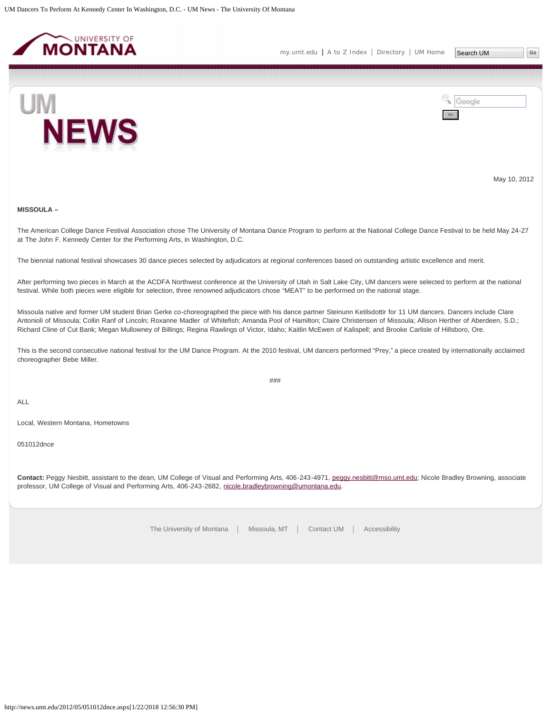<span id="page-28-0"></span>



May 10, 2012

# **MISSOULA –**

The American College Dance Festival Association chose The University of Montana Dance Program to perform at the National College Dance Festival to be held May 24-27 at The John F. Kennedy Center for the Performing Arts, in Washington, D.C.

The biennial national festival showcases 30 dance pieces selected by adjudicators at regional conferences based on outstanding artistic excellence and merit.

After performing two pieces in March at the ACDFA Northwest conference at the University of Utah in Salt Lake City, UM dancers were selected to perform at the national festival. While both pieces were eligible for selection, three renowned adjudicators chose "MEAT" to be performed on the national stage.

Missoula native and former UM student Brian Gerke co-choreographed the piece with his dance partner Steinunn Ketilsdottir for 11 UM dancers. Dancers include Clare Antonioli of Missoula; Collin Ranf of Lincoln; Roxanne Madler of Whitefish; Amanda Pool of Hamilton; Claire Christensen of Missoula; Allison Herther of Aberdeen, S.D.; Richard Cline of Cut Bank; Megan Mullowney of Billings; Regina Rawlings of Victor, Idaho; Kaitlin McEwen of Kalispell; and Brooke Carlisle of Hillsboro, Ore.

This is the second consecutive national festival for the UM Dance Program. At the 2010 festival, UM dancers performed "Prey," a piece created by internationally acclaimed choreographer Bebe Miller.

###

ALL

Local, Western Montana, Hometowns

051012dnce

**Contact:** Peggy Nesbitt, assistant to the dean, UM College of Visual and Performing Arts, 406-243-4971, [peggy.nesbitt@mso.umt.edu](mailto:peggy.nesbitt@mso.umt.edu); Nicole Bradley Browning, associate professor, UM College of Visual and Performing Arts, 406-243-2682, [nicole.bradleybrowning@umontana.edu.](mailto:nicole.bradleybrowning@umontana.edu)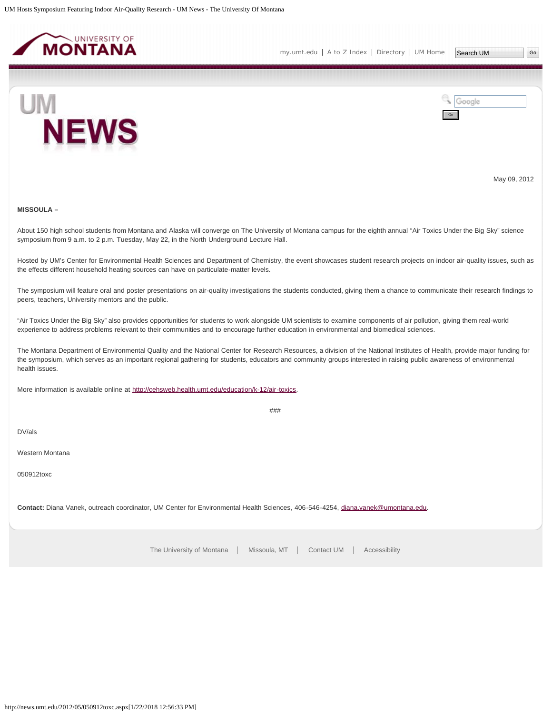<span id="page-29-0"></span>



May 09, 2012

# **MISSOULA –**

About 150 high school students from Montana and Alaska will converge on The University of Montana campus for the eighth annual "Air Toxics Under the Big Sky" science symposium from 9 a.m. to 2 p.m. Tuesday, May 22, in the North Underground Lecture Hall.

Hosted by UM's Center for Environmental Health Sciences and Department of Chemistry, the event showcases student research projects on indoor air-quality issues, such as the effects different household heating sources can have on particulate-matter levels.

The symposium will feature oral and poster presentations on air-quality investigations the students conducted, giving them a chance to communicate their research findings to peers, teachers, University mentors and the public.

"Air Toxics Under the Big Sky" also provides opportunities for students to work alongside UM scientists to examine components of air pollution, giving them real-world experience to address problems relevant to their communities and to encourage further education in environmental and biomedical sciences.

The Montana Department of Environmental Quality and the National Center for Research Resources, a division of the National Institutes of Health, provide major funding for the symposium, which serves as an important regional gathering for students, educators and community groups interested in raising public awareness of environmental health issues.

More information is available online at [http://cehsweb.health.umt.edu/education/k-12/air-toxics.](http://cehsweb.health.umt.edu/education/k-12/air-toxics)

 $###$ 

DV/als

Western Montana

050912toxc

**Contact:** Diana Vanek, outreach coordinator, UM Center for Environmental Health Sciences, 406-546-4254, [diana.vanek@umontana.edu.](mailto:diana.vanek@umontana.edu)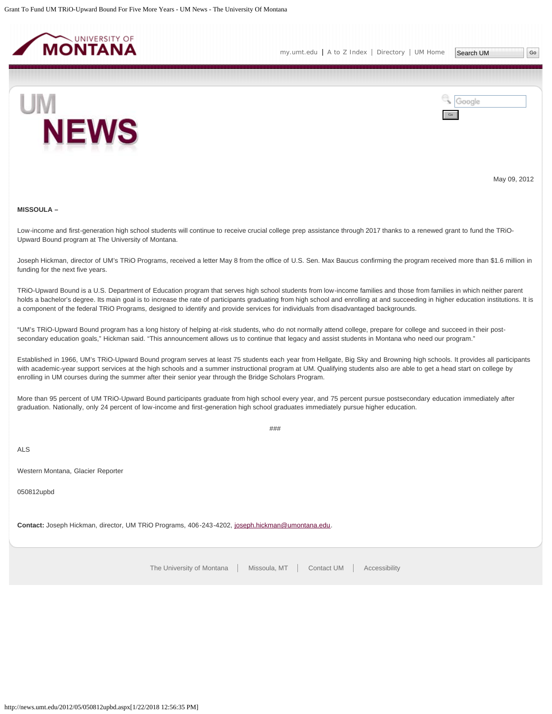<span id="page-30-0"></span>



May 09, 2012

#### **MISSOULA –**

Low-income and first-generation high school students will continue to receive crucial college prep assistance through 2017 thanks to a renewed grant to fund the TRiO-Upward Bound program at The University of Montana.

Joseph Hickman, director of UM's TRiO Programs, received a letter May 8 from the office of U.S. Sen. Max Baucus confirming the program received more than \$1.6 million in funding for the next five years.

TRiO-Upward Bound is a U.S. Department of Education program that serves high school students from low-income families and those from families in which neither parent holds a bachelor's degree. Its main goal is to increase the rate of participants graduating from high school and enrolling at and succeeding in higher education institutions. It is a component of the federal TRiO Programs, designed to identify and provide services for individuals from disadvantaged backgrounds.

"UM's TRiO-Upward Bound program has a long history of helping at-risk students, who do not normally attend college, prepare for college and succeed in their postsecondary education goals," Hickman said. "This announcement allows us to continue that legacy and assist students in Montana who need our program."

Established in 1966, UM's TRiO-Upward Bound program serves at least 75 students each year from Hellgate, Big Sky and Browning high schools. It provides all participants with academic-year support services at the high schools and a summer instructional program at UM. Qualifying students also are able to get a head start on college by enrolling in UM courses during the summer after their senior year through the Bridge Scholars Program.

More than 95 percent of UM TRiO-Upward Bound participants graduate from high school every year, and 75 percent pursue postsecondary education immediately after graduation. Nationally, only 24 percent of low-income and first-generation high school graduates immediately pursue higher education.

###

ALS

Western Montana, Glacier Reporter

050812upbd

**Contact:** Joseph Hickman, director, UM TRiO Programs, 406-243-4202, [joseph.hickman@umontana.edu.](mailto:joseph.hickman@umontana.edu)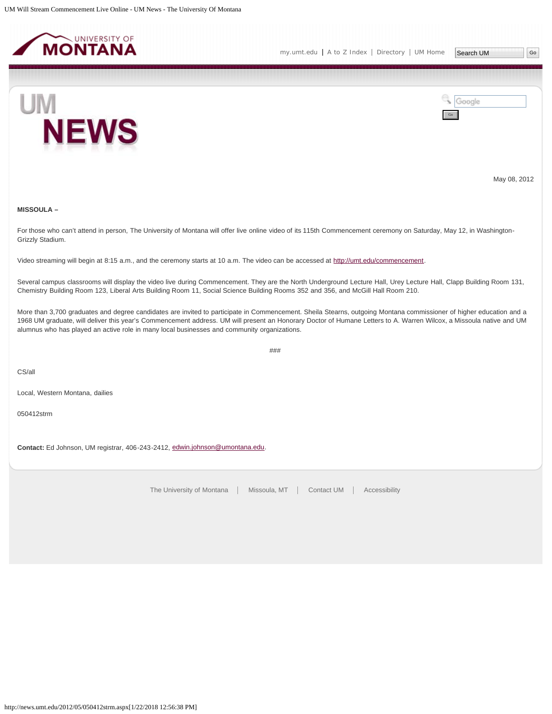<span id="page-31-0"></span>



May 08, 2012

# **MISSOULA –**

For those who can't attend in person, The University of Montana will offer live online video of its 115th Commencement ceremony on Saturday, May 12, in Washington-Grizzly Stadium.

Video streaming will begin at 8:15 a.m., and the ceremony starts at 10 a.m. The video can be accessed at<http://umt.edu/commencement>.

Several campus classrooms will display the video live during Commencement. They are the North Underground Lecture Hall, Urey Lecture Hall, Clapp Building Room 131, Chemistry Building Room 123, Liberal Arts Building Room 11, Social Science Building Rooms 352 and 356, and McGill Hall Room 210.

More than 3,700 graduates and degree candidates are invited to participate in Commencement. Sheila Stearns, outgoing Montana commissioner of higher education and a 1968 UM graduate, will deliver this year's Commencement address. UM will present an Honorary Doctor of Humane Letters to A. Warren Wilcox, a Missoula native and UM alumnus who has played an active role in many local businesses and community organizations.

###

CS/all

Local, Western Montana, dailies

050412strm

**Contact:** Ed Johnson, UM registrar, 406-243-2412, [edwin.johnson@umontana.edu](mailto:edwin.johnson@umontana.edu).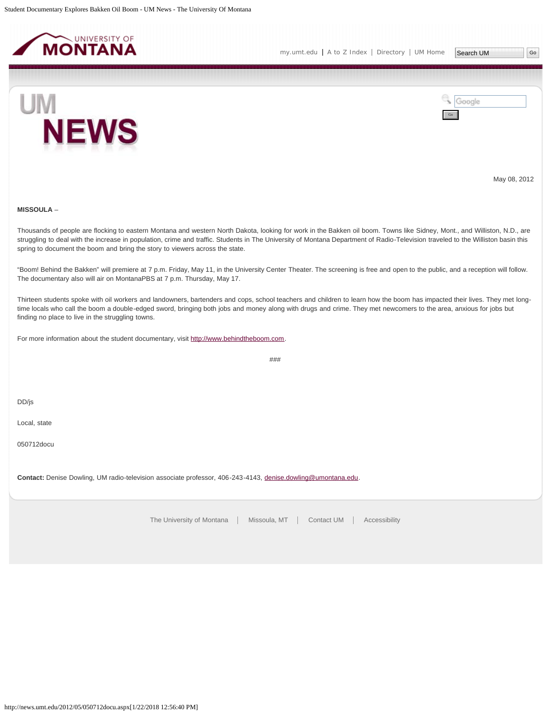<span id="page-32-0"></span>



May 08, 2012

# **MISSOULA** –

Thousands of people are flocking to eastern Montana and western North Dakota, looking for work in the Bakken oil boom. Towns like Sidney, Mont., and Williston, N.D., are struggling to deal with the increase in population, crime and traffic. Students in The University of Montana Department of Radio-Television traveled to the Williston basin this spring to document the boom and bring the story to viewers across the state.

"Boom! Behind the Bakken" will premiere at 7 p.m. Friday, May 11, in the University Center Theater. The screening is free and open to the public, and a reception will follow. The documentary also will air on MontanaPBS at 7 p.m. Thursday, May 17.

Thirteen students spoke with oil workers and landowners, bartenders and cops, school teachers and children to learn how the boom has impacted their lives. They met longtime locals who call the boom a double-edged sword, bringing both jobs and money along with drugs and crime. They met newcomers to the area, anxious for jobs but finding no place to live in the struggling towns.

###

For more information about the student documentary, visit [http://www.behindtheboom.com.](http://www.behindtheboom.com/)

DD/js

Local, state

050712docu

**Contact:** Denise Dowling, UM radio-television associate professor, 406-243-4143, [denise.dowling@umontana.edu.](mailto:denise.dowling@umontana.edu)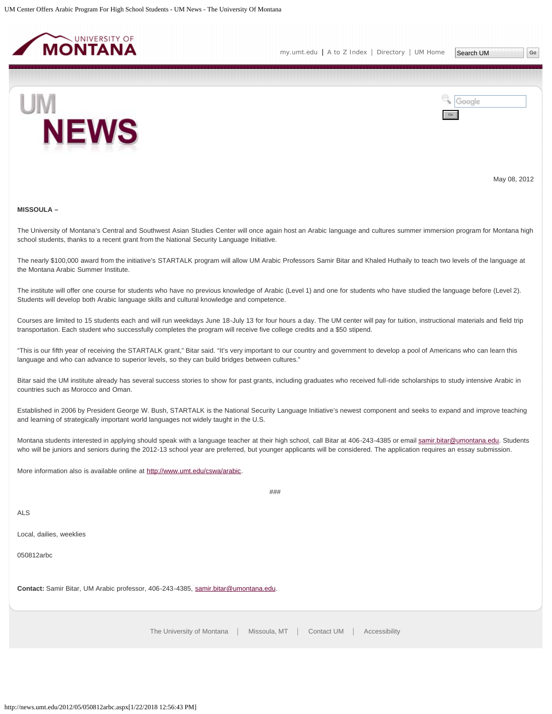<span id="page-33-0"></span>



May 08, 2012

#### **MISSOULA –**

The University of Montana's Central and Southwest Asian Studies Center will once again host an Arabic language and cultures summer immersion program for Montana high school students, thanks to a recent grant from the National Security Language Initiative.

The nearly \$100,000 award from the initiative's STARTALK program will allow UM Arabic Professors Samir Bitar and Khaled Huthaily to teach two levels of the language at the Montana Arabic Summer Institute.

The institute will offer one course for students who have no previous knowledge of Arabic (Level 1) and one for students who have studied the language before (Level 2). Students will develop both Arabic language skills and cultural knowledge and competence.

Courses are limited to 15 students each and will run weekdays June 18-July 13 for four hours a day. The UM center will pay for tuition, instructional materials and field trip transportation. Each student who successfully completes the program will receive five college credits and a \$50 stipend.

"This is our fifth year of receiving the STARTALK grant," Bitar said. "It's very important to our country and government to develop a pool of Americans who can learn this language and who can advance to superior levels, so they can build bridges between cultures."

Bitar said the UM institute already has several success stories to show for past grants, including graduates who received full-ride scholarships to study intensive Arabic in countries such as Morocco and Oman.

Established in 2006 by President George W. Bush, STARTALK is the National Security Language Initiative's newest component and seeks to expand and improve teaching and learning of strategically important world languages not widely taught in the U.S.

Montana students interested in applying should speak with a language teacher at their high school, call Bitar at 406-243-4385 or email [samir.bitar@umontana.edu](mailto:samir.bitar@umontana.edu). Students who will be juniors and seniors during the 2012-13 school year are preferred, but younger applicants will be considered. The application requires an essay submission.

More information also is available online at [http://www.umt.edu/cswa/arabic.](http://www.umt.edu/cswa/arabic)

###

ALS

Local, dailies, weeklies

050812arbc

**Contact:** Samir Bitar, UM Arabic professor, 406-243-4385, [samir.bitar@umontana.edu](mailto:samir.bitar@umontana.edu).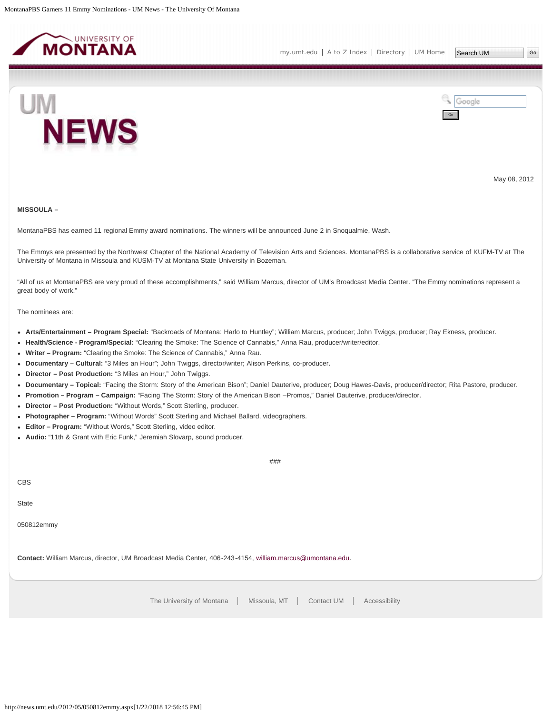<span id="page-34-0"></span>



May 08, 2012

#### **MISSOULA –**

MontanaPBS has earned 11 regional Emmy award nominations. The winners will be announced June 2 in Snoqualmie, Wash.

The Emmys are presented by the Northwest Chapter of the National Academy of Television Arts and Sciences. MontanaPBS is a collaborative service of KUFM-TV at The University of Montana in Missoula and KUSM-TV at Montana State University in Bozeman.

"All of us at MontanaPBS are very proud of these accomplishments," said William Marcus, director of UM's Broadcast Media Center. "The Emmy nominations represent a great body of work."

#### The nominees are:

- **Arts/Entertainment Program Special:** "Backroads of Montana: Harlo to Huntley"; William Marcus, producer; John Twiggs, producer; Ray Ekness, producer.
- **Health/Science Program/Special:** "Clearing the Smoke: The Science of Cannabis," Anna Rau, producer/writer/editor.
- **Writer Program:** "Clearing the Smoke: The Science of Cannabis," Anna Rau.
- **Documentary Cultural:** "3 Miles an Hour"; John Twiggs, director/writer; Alison Perkins, co-producer.
- **Director Post Production:** "3 Miles an Hour," John Twiggs.
- **Documentary Topical:** "Facing the Storm: Story of the American Bison"; Daniel Dauterive, producer; Doug Hawes-Davis, producer/director; Rita Pastore, producer.
- **Promotion Program Campaign:** "Facing The Storm: Story of the American Bison –Promos," Daniel Dauterive, producer/director.
- **Director Post Production:** "Without Words," Scott Sterling, producer.
- **Photographer Program:** "Without Words" Scott Sterling and Michael Ballard, videographers.
- **Editor Program:** "Without Words," Scott Sterling, video editor.
- **Audio:** "11th & Grant with Eric Funk," Jeremiah Slovarp, sound producer.

###

**CBS** 

State

050812emmy

**Contact:** William Marcus, director, UM Broadcast Media Center, 406-243-4154, [william.marcus@umontana.edu.](mailto:william.marcus@umontana.edu)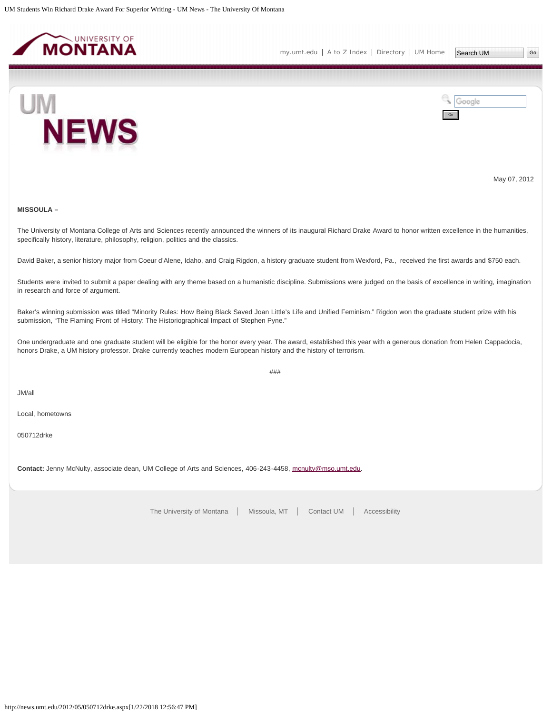<span id="page-35-0"></span>



May 07, 2012

# **MISSOULA –**

The University of Montana College of Arts and Sciences recently announced the winners of its inaugural Richard Drake Award to honor written excellence in the humanities, specifically history, literature, philosophy, religion, politics and the classics.

David Baker, a senior history major from Coeur d'Alene, Idaho, and Craig Rigdon, a history graduate student from Wexford, Pa., received the first awards and \$750 each.

Students were invited to submit a paper dealing with any theme based on a humanistic discipline. Submissions were judged on the basis of excellence in writing, imagination in research and force of argument.

Baker's winning submission was titled "Minority Rules: How Being Black Saved Joan Little's Life and Unified Feminism." Rigdon won the graduate student prize with his submission, "The Flaming Front of History: The Historiographical Impact of Stephen Pyne."

One undergraduate and one graduate student will be eligible for the honor every year. The award, established this year with a generous donation from Helen Cappadocia, honors Drake, a UM history professor. Drake currently teaches modern European history and the history of terrorism.

###

JM/all

Local, hometowns

050712drke

**Contact:** Jenny McNulty, associate dean, UM College of Arts and Sciences, 406-243-4458, [mcnulty@mso.umt.edu](mailto:mcnulty@mso.umt.edu).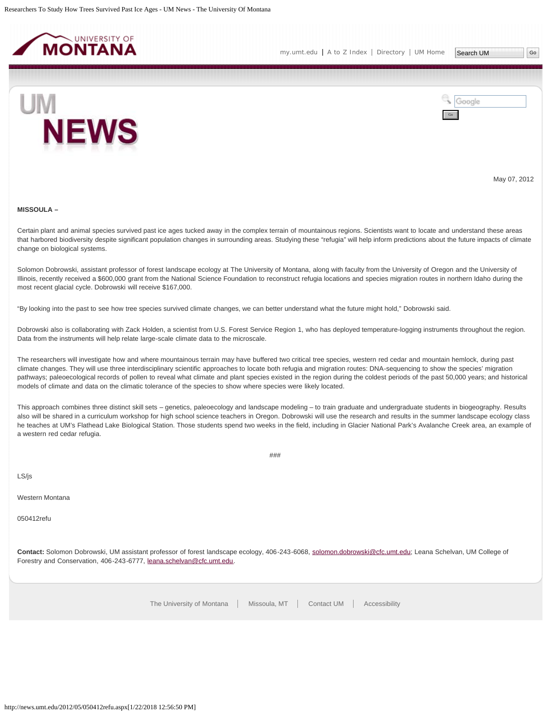<span id="page-36-0"></span>



May 07, 2012

#### **MISSOULA –**

Certain plant and animal species survived past ice ages tucked away in the complex terrain of mountainous regions. Scientists want to locate and understand these areas that harbored biodiversity despite significant population changes in surrounding areas. Studying these "refugia" will help inform predictions about the future impacts of climate change on biological systems.

Solomon Dobrowski, assistant professor of forest landscape ecology at The University of Montana, along with faculty from the University of Oregon and the University of Illinois, recently received a \$600,000 grant from the National Science Foundation to reconstruct refugia locations and species migration routes in northern Idaho during the most recent glacial cycle. Dobrowski will receive \$167,000.

"By looking into the past to see how tree species survived climate changes, we can better understand what the future might hold," Dobrowski said.

Dobrowski also is collaborating with Zack Holden, a scientist from U.S. Forest Service Region 1, who has deployed temperature-logging instruments throughout the region. Data from the instruments will help relate large-scale climate data to the microscale.

The researchers will investigate how and where mountainous terrain may have buffered two critical tree species, western red cedar and mountain hemlock, during past climate changes. They will use three interdisciplinary scientific approaches to locate both refugia and migration routes: DNA-sequencing to show the species' migration pathways; paleoecological records of pollen to reveal what climate and plant species existed in the region during the coldest periods of the past 50,000 years; and historical models of climate and data on the climatic tolerance of the species to show where species were likely located.

This approach combines three distinct skill sets – genetics, paleoecology and landscape modeling – to train graduate and undergraduate students in biogeography. Results also will be shared in a curriculum workshop for high school science teachers in Oregon. Dobrowski will use the research and results in the summer landscape ecology class he teaches at UM's Flathead Lake Biological Station. Those students spend two weeks in the field, including in Glacier National Park's Avalanche Creek area, an example of a western red cedar refugia.

###

LS/js

Western Montana

050412refu

**Contact:** Solomon Dobrowski, UM assistant professor of forest landscape ecology, 406-243-6068, [solomon.dobrowski@cfc.umt.edu;](mailto:solomon.dobrowski@cfc.umt.edu) Leana Schelvan, UM College of Forestry and Conservation, 406-243-6777, [leana.schelvan@cfc.umt.edu](mailto:leana.schelvan@cfc.umt.edu).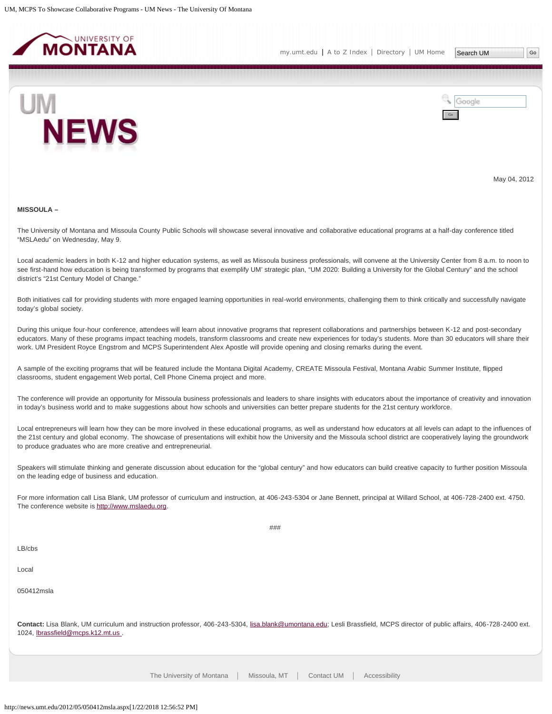<span id="page-37-0"></span>



May 04, 2012

#### **MISSOULA –**

The University of Montana and Missoula County Public Schools will showcase several innovative and collaborative educational programs at a half-day conference titled "MSLAedu" on Wednesday, May 9.

Local academic leaders in both K-12 and higher education systems, as well as Missoula business professionals, will convene at the University Center from 8 a.m. to noon to see first-hand how education is being transformed by programs that exemplify UM' strategic plan, "UM 2020: Building a University for the Global Century" and the school district's "21st Century Model of Change."

Both initiatives call for providing students with more engaged learning opportunities in real-world environments, challenging them to think critically and successfully navigate today's global society.

During this unique four-hour conference, attendees will learn about innovative programs that represent collaborations and partnerships between K-12 and post-secondary educators. Many of these programs impact teaching models, transform classrooms and create new experiences for today's students. More than 30 educators will share their work. UM President Royce Engstrom and MCPS Superintendent Alex Apostle will provide opening and closing remarks during the event.

A sample of the exciting programs that will be featured include the Montana Digital Academy, CREATE Missoula Festival, Montana Arabic Summer Institute, flipped classrooms, student engagement Web portal, Cell Phone Cinema project and more.

The conference will provide an opportunity for Missoula business professionals and leaders to share insights with educators about the importance of creativity and innovation in today's business world and to make suggestions about how schools and universities can better prepare students for the 21st century workforce.

Local entrepreneurs will learn how they can be more involved in these educational programs, as well as understand how educators at all levels can adapt to the influences of the 21st century and global economy. The showcase of presentations will exhibit how the University and the Missoula school district are cooperatively laying the groundwork to produce graduates who are more creative and entrepreneurial.

Speakers will stimulate thinking and generate discussion about education for the "global century" and how educators can build creative capacity to further position Missoula on the leading edge of business and education.

For more information call Lisa Blank, UM professor of curriculum and instruction, at 406-243-5304 or Jane Bennett, principal at Willard School, at 406-728-2400 ext. 4750. The conference website is [http://www.mslaedu.org](http://www.mslaedu.org/).

###

LB/cbs

Local

050412msla

Contact: Lisa Blank, UM curriculum and instruction professor, 406-243-5304, [lisa.blank@umontana.edu;](mailto:lisa.blank@umontana.edu) Lesli Brassfield, MCPS director of public affairs, 406-728-2400 ext. 1024, [lbrassfield@mcps.k12.mt.us](mailto:lbrassfield@mcps.k12.mt.us) .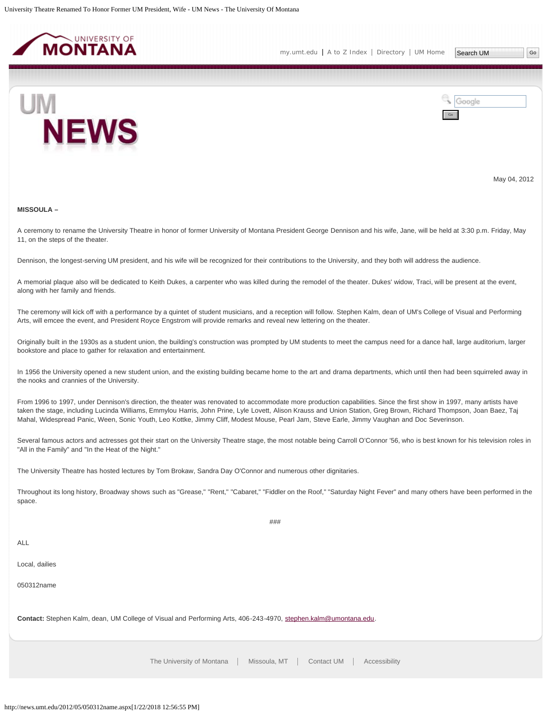<span id="page-39-0"></span>



May 04, 2012

#### **MISSOULA –**

A ceremony to rename the University Theatre in honor of former University of Montana President George Dennison and his wife, Jane, will be held at 3:30 p.m. Friday, May 11, on the steps of the theater.

Dennison, the longest-serving UM president, and his wife will be recognized for their contributions to the University, and they both will address the audience.

A memorial plaque also will be dedicated to Keith Dukes, a carpenter who was killed during the remodel of the theater. Dukes' widow, Traci, will be present at the event, along with her family and friends.

The ceremony will kick off with a performance by a quintet of student musicians, and a reception will follow. Stephen Kalm, dean of UM's College of Visual and Performing Arts, will emcee the event, and President Royce Engstrom will provide remarks and reveal new lettering on the theater.

Originally built in the 1930s as a student union, the building's construction was prompted by UM students to meet the campus need for a dance hall, large auditorium, larger bookstore and place to gather for relaxation and entertainment.

In 1956 the University opened a new student union, and the existing building became home to the art and drama departments, which until then had been squirreled away in the nooks and crannies of the University.

From 1996 to 1997, under Dennison's direction, the theater was renovated to accommodate more production capabilities. Since the first show in 1997, many artists have taken the stage, including Lucinda Williams, Emmylou Harris, John Prine, Lyle Lovett, Alison Krauss and Union Station, Greg Brown, Richard Thompson, Joan Baez, Taj Mahal, Widespread Panic, Ween, Sonic Youth, Leo Kottke, Jimmy Cliff, Modest Mouse, Pearl Jam, Steve Earle, Jimmy Vaughan and Doc Severinson.

Several famous actors and actresses got their start on the University Theatre stage, the most notable being Carroll O'Connor '56, who is best known for his television roles in "All in the Family" and "In the Heat of the Night."

The University Theatre has hosted lectures by Tom Brokaw, Sandra Day O'Connor and numerous other dignitaries.

Throughout its long history, Broadway shows such as "Grease," "Rent," "Cabaret," "Fiddler on the Roof," "Saturday Night Fever" and many others have been performed in the space.

###

ALL

Local, dailies

050312name

**Contact:** Stephen Kalm, dean, UM College of Visual and Performing Arts, 406-243-4970, [stephen.kalm@umontana.edu](mailto:stephen.kalm@umontana.edu).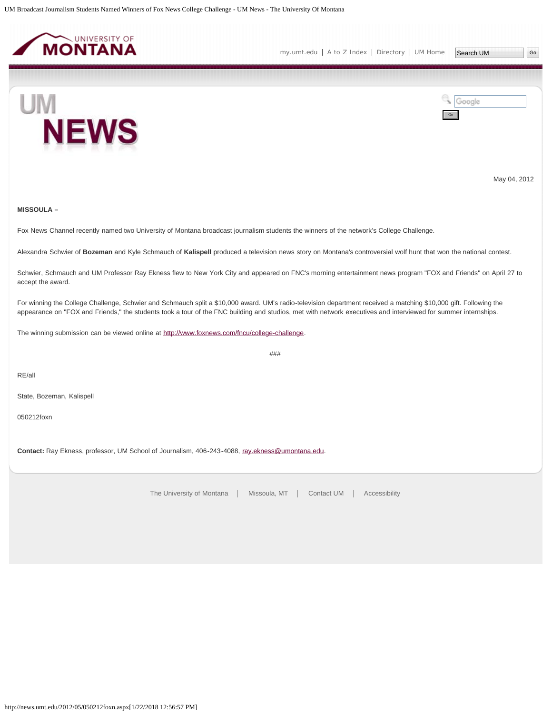<span id="page-40-0"></span>

[my.umt.edu](http://my.umt.edu/) | [A to Z Index](http://www.umt.edu/search/atoz/) | [Directory](http://www.umt.edu/directory/) | [UM Home](http://www.umt.edu/)

Search UM |Go



Google Go

May 04, 2012

# **MISSOULA –**

Fox News Channel recently named two University of Montana broadcast journalism students the winners of the network's College Challenge.

Alexandra Schwier of **Bozeman** and Kyle Schmauch of **Kalispell** produced a television news story on Montana's controversial wolf hunt that won the national contest.

Schwier, Schmauch and UM Professor Ray Ekness flew to New York City and appeared on FNC's morning entertainment news program "FOX and Friends" on April 27 to accept the award.

###

For winning the College Challenge, Schwier and Schmauch split a \$10,000 award. UM's radio-television department received a matching \$10,000 gift. Following the appearance on "FOX and Friends," the students took a tour of the FNC building and studios, met with network executives and interviewed for summer internships.

The winning submission can be viewed online at<http://www.foxnews.com/fncu/college-challenge>.

RE/all

State, Bozeman, Kalispell

050212foxn

Contact: Ray Ekness, professor, UM School of Journalism, 406-243-4088, [ray.ekness@umontana.edu.](mailto:ray.ekness@umontana.edu)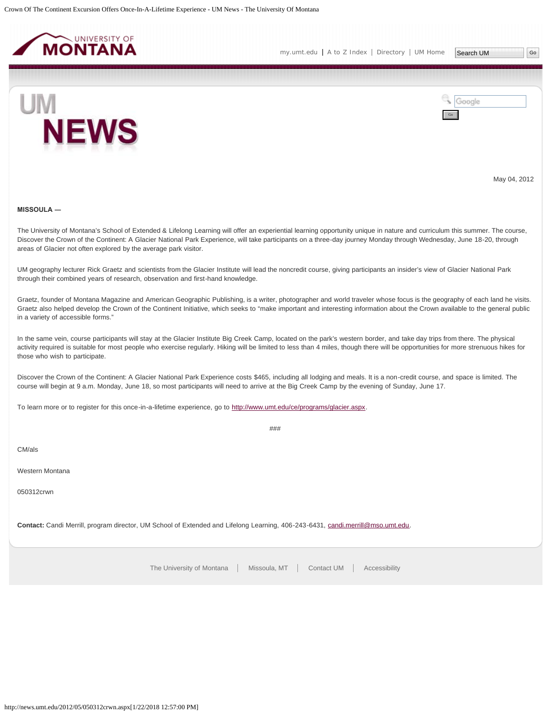<span id="page-41-0"></span>





May 04, 2012

#### **MISSOULA ―**

The University of Montana's School of Extended & Lifelong Learning will offer an experiential learning opportunity unique in nature and curriculum this summer. The course, Discover the Crown of the Continent: A Glacier National Park Experience, will take participants on a three-day journey Monday through Wednesday, June 18-20, through areas of Glacier not often explored by the average park visitor.

UM geography lecturer Rick Graetz and scientists from the Glacier Institute will lead the noncredit course, giving participants an insider's view of Glacier National Park through their combined years of research, observation and first-hand knowledge.

Graetz, founder of Montana Magazine and American Geographic Publishing, is a writer, photographer and world traveler whose focus is the geography of each land he visits. Graetz also helped develop the Crown of the Continent Initiative, which seeks to "make important and interesting information about the Crown available to the general public in a variety of accessible forms."

In the same vein, course participants will stay at the Glacier Institute Big Creek Camp, located on the park's western border, and take day trips from there. The physical activity required is suitable for most people who exercise regularly. Hiking will be limited to less than 4 miles, though there will be opportunities for more strenuous hikes for those who wish to participate.

Discover the Crown of the Continent: A Glacier National Park Experience costs \$465, including all lodging and meals. It is a non-credit course, and space is limited. The course will begin at 9 a.m. Monday, June 18, so most participants will need to arrive at the Big Creek Camp by the evening of Sunday, June 17.

To learn more or to register for this once-in-a-lifetime experience, go to [http://www.umt.edu/ce/programs/glacier.aspx.](http://www.umt.edu/ce/programs/glacier.aspx)

###

CM/als

Western Montana

050312crwn

**Contact:** Candi Merrill, program director, UM School of Extended and Lifelong Learning, 406-243-6431, [candi.merrill@mso.umt.edu.](mailto:candi.merrill@mso.umt.edu)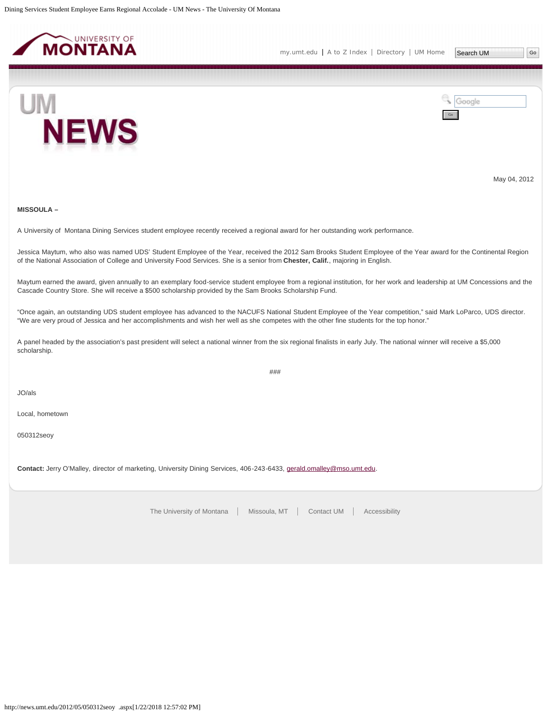<span id="page-42-0"></span>



May 04, 2012

# **MISSOULA –**

A University of Montana Dining Services student employee recently received a regional award for her outstanding work performance.

Jessica Maytum, who also was named UDS' Student Employee of the Year, received the 2012 Sam Brooks Student Employee of the Year award for the Continental Region of the National Association of College and University Food Services. She is a senior from **Chester, Calif.**, majoring in English.

Maytum earned the award, given annually to an exemplary food-service student employee from a regional institution, for her work and leadership at UM Concessions and the Cascade Country Store. She will receive a \$500 scholarship provided by the Sam Brooks Scholarship Fund.

"Once again, an outstanding UDS student employee has advanced to the NACUFS National Student Employee of the Year competition," said Mark LoParco, UDS director. "We are very proud of Jessica and her accomplishments and wish her well as she competes with the other fine students for the top honor."

A panel headed by the association's past president will select a national winner from the six regional finalists in early July. The national winner will receive a \$5,000 scholarship.

###

JO/als

Local, hometown

050312seoy

**Contact:** Jerry O'Malley, director of marketing, University Dining Services, 406-243-6433, [gerald.omalley@mso.umt.edu.](mailto:gerald.omalley@mso.umt.edu)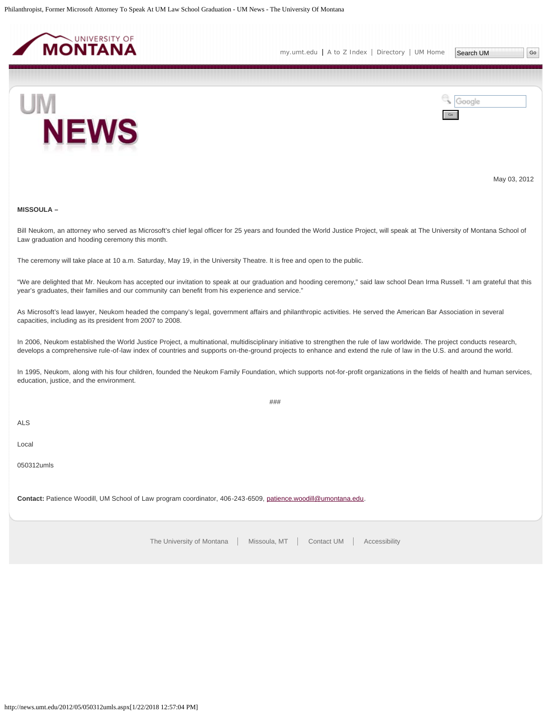<span id="page-43-0"></span>

[my.umt.edu](http://my.umt.edu/) | [A to Z Index](http://www.umt.edu/search/atoz/) | [Directory](http://www.umt.edu/directory/) | [UM Home](http://www.umt.edu/)



Go

Google



May 03, 2012

# **MISSOULA –**

Bill Neukom, an attorney who served as Microsoft's chief legal officer for 25 years and founded the World Justice Project, will speak at The University of Montana School of Law graduation and hooding ceremony this month.

The ceremony will take place at 10 a.m. Saturday, May 19, in the University Theatre. It is free and open to the public.

"We are delighted that Mr. Neukom has accepted our invitation to speak at our graduation and hooding ceremony," said law school Dean Irma Russell. "I am grateful that this year's graduates, their families and our community can benefit from his experience and service."

As Microsoft's lead lawyer, Neukom headed the company's legal, government affairs and philanthropic activities. He served the American Bar Association in several capacities, including as its president from 2007 to 2008.

In 2006, Neukom established the World Justice Project, a multinational, multidisciplinary initiative to strengthen the rule of law worldwide. The project conducts research, develops a comprehensive rule-of-law index of countries and supports on-the-ground projects to enhance and extend the rule of law in the U.S. and around the world.

In 1995, Neukom, along with his four children, founded the Neukom Family Foundation, which supports not-for-profit organizations in the fields of health and human services, education, justice, and the environment.

###

ALS

Local

050312umls

**Contact:** Patience Woodill, UM School of Law program coordinator, 406-243-6509, [patience.woodill@umontana.edu.](mailto:patience.woodill@umontana.edu)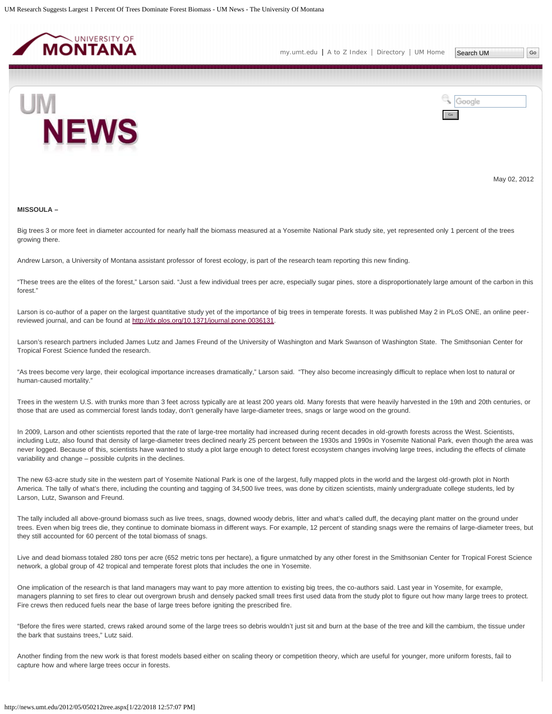<span id="page-44-0"></span>



May 02, 2012

#### **MISSOULA –**

Big trees 3 or more feet in diameter accounted for nearly half the biomass measured at a Yosemite National Park study site, yet represented only 1 percent of the trees growing there.

Andrew Larson, a University of Montana assistant professor of forest ecology, is part of the research team reporting this new finding.

"These trees are the elites of the forest," Larson said. "Just a few individual trees per acre, especially sugar pines, store a disproportionately large amount of the carbon in this forest."

Larson is co-author of a paper on the largest quantitative study yet of the importance of big trees in temperate forests. It was published May 2 in PLoS ONE, an online peerreviewed journal, and can be found at<http://dx.plos.org/10.1371/journal.pone.0036131>.

Larson's research partners included James Lutz and James Freund of the University of Washington and Mark Swanson of Washington State. The Smithsonian Center for Tropical Forest Science funded the research.

"As trees become very large, their ecological importance increases dramatically," Larson said. "They also become increasingly difficult to replace when lost to natural or human-caused mortality."

Trees in the western U.S. with trunks more than 3 feet across typically are at least 200 years old. Many forests that were heavily harvested in the 19th and 20th centuries, or those that are used as commercial forest lands today, don't generally have large-diameter trees, snags or large wood on the ground.

In 2009, Larson and other scientists reported that the rate of large-tree mortality had increased during recent decades in old-growth forests across the West. Scientists, including Lutz, also found that density of large-diameter trees declined nearly 25 percent between the 1930s and 1990s in Yosemite National Park, even though the area was never logged. Because of this, scientists have wanted to study a plot large enough to detect forest ecosystem changes involving large trees, including the effects of climate variability and change – possible culprits in the declines.

The new 63-acre study site in the western part of Yosemite National Park is one of the largest, fully mapped plots in the world and the largest old-growth plot in North America. The tally of what's there, including the counting and tagging of 34,500 live trees, was done by citizen scientists, mainly undergraduate college students, led by Larson, Lutz, Swanson and Freund.

The tally included all above-ground biomass such as live trees, snags, downed woody debris, litter and what's called duff, the decaying plant matter on the ground under trees. Even when big trees die, they continue to dominate biomass in different ways. For example, 12 percent of standing snags were the remains of large-diameter trees, but they still accounted for 60 percent of the total biomass of snags.

Live and dead biomass totaled 280 tons per acre (652 metric tons per hectare), a figure unmatched by any other forest in the Smithsonian Center for Tropical Forest Science network, a global group of 42 tropical and temperate forest plots that includes the one in Yosemite.

One implication of the research is that land managers may want to pay more attention to existing big trees, the co-authors said. Last year in Yosemite, for example, managers planning to set fires to clear out overgrown brush and densely packed small trees first used data from the study plot to figure out how many large trees to protect. Fire crews then reduced fuels near the base of large trees before igniting the prescribed fire.

"Before the fires were started, crews raked around some of the large trees so debris wouldn't just sit and burn at the base of the tree and kill the cambium, the tissue under the bark that sustains trees," Lutz said.

Another finding from the new work is that forest models based either on scaling theory or competition theory, which are useful for younger, more uniform forests, fail to capture how and where large trees occur in forests.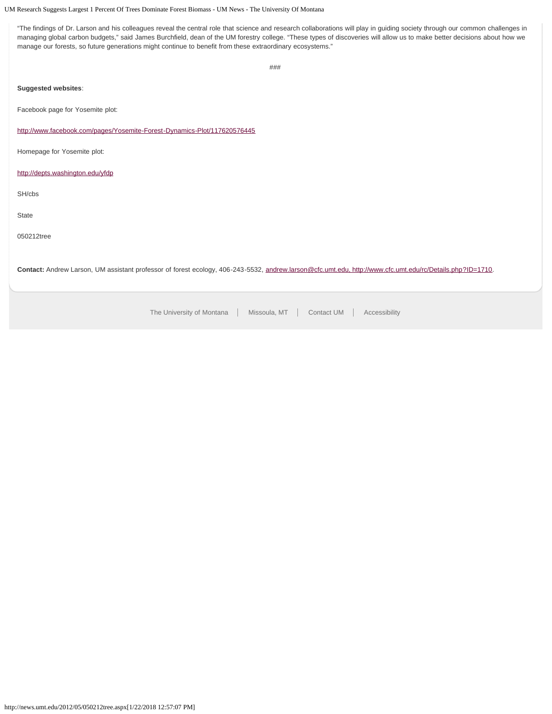# UM Research Suggests Largest 1 Percent Of Trees Dominate Forest Biomass - UM News - The University Of Montana

"The findings of Dr. Larson and his colleagues reveal the central role that science and research collaborations will play in guiding society through our common challenges in managing global carbon budgets," said James Burchfield, dean of the UM forestry college. "These types of discoveries will allow us to make better decisions about how we manage our forests, so future generations might continue to benefit from these extraordinary ecosystems."

### **Suggested websites**: Facebook page for Yosemite plot: <http://www.facebook.com/pages/Yosemite-Forest-Dynamics-Plot/117620576445> Homepage for Yosemite plot: <http://depts.washington.edu/yfdp> SH/cbs **State** 050212tree **Contact:** Andrew Larson, UM assistant professor of forest ecology, 406-243-5532, [andrew.larson@cfc.umt.edu, http://www.cfc.umt.edu/rc/Details.php?ID=1710](mailto:andrew.larson@cfc.umt.edu, http://www.cfc.umt.edu/rc/Details.php?ID=1710).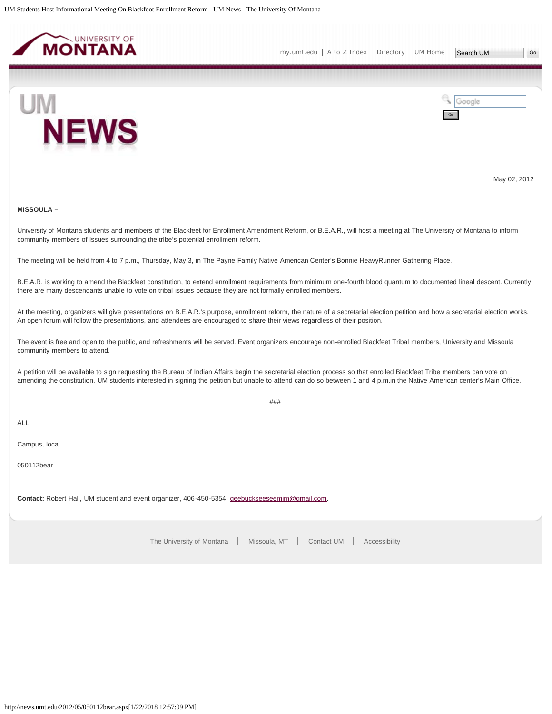<span id="page-46-0"></span>



May 02, 2012

# **MISSOULA –**

University of Montana students and members of the Blackfeet for Enrollment Amendment Reform, or B.E.A.R., will host a meeting at The University of Montana to inform community members of issues surrounding the tribe's potential enrollment reform.

The meeting will be held from 4 to 7 p.m., Thursday, May 3, in The Payne Family Native American Center's Bonnie HeavyRunner Gathering Place.

B.E.A.R. is working to amend the Blackfeet constitution, to extend enrollment requirements from minimum one-fourth blood quantum to documented lineal descent. Currently there are many descendants unable to vote on tribal issues because they are not formally enrolled members.

At the meeting, organizers will give presentations on B.E.A.R.'s purpose, enrollment reform, the nature of a secretarial election petition and how a secretarial election works. An open forum will follow the presentations, and attendees are encouraged to share their views regardless of their position.

The event is free and open to the public, and refreshments will be served. Event organizers encourage non-enrolled Blackfeet Tribal members, University and Missoula community members to attend.

A petition will be available to sign requesting the Bureau of Indian Affairs begin the secretarial election process so that enrolled Blackfeet Tribe members can vote on amending the constitution. UM students interested in signing the petition but unable to attend can do so between 1 and 4 p.m.in the Native American center's Main Office.

###

ALL

Campus, local

050112bear

**Contact:** Robert Hall, UM student and event organizer, 406-450-5354, [geebuckseeseemim@gmail.com](mailto:geebuckseeseemim@gmail.com).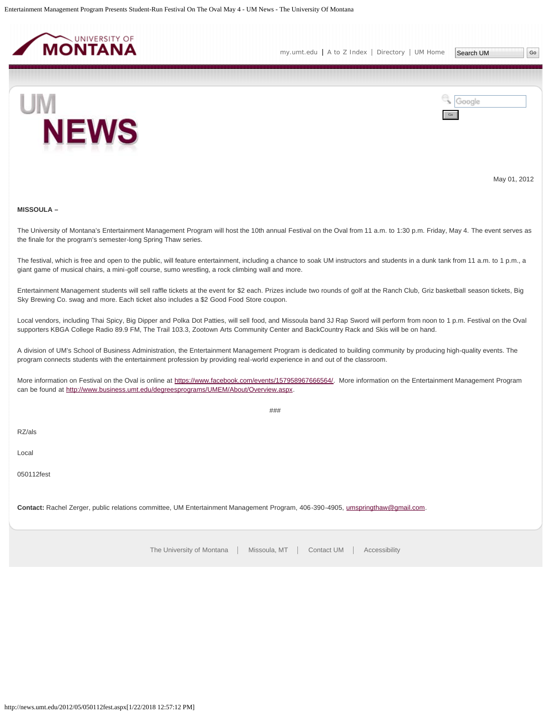<span id="page-47-0"></span>



May 01, 2012

# **MISSOULA –**

The University of Montana's Entertainment Management Program will host the 10th annual Festival on the Oval from 11 a.m. to 1:30 p.m. Friday, May 4. The event serves as the finale for the program's semester-long Spring Thaw series.

The festival, which is free and open to the public, will feature entertainment, including a chance to soak UM instructors and students in a dunk tank from 11 a.m. to 1 p.m., a giant game of musical chairs, a mini-golf course, sumo wrestling, a rock climbing wall and more.

Entertainment Management students will sell raffle tickets at the event for \$2 each. Prizes include two rounds of golf at the Ranch Club, Griz basketball season tickets, Big Sky Brewing Co. swag and more. Each ticket also includes a \$2 Good Food Store coupon.

Local vendors, including Thai Spicy, Big Dipper and Polka Dot Patties, will sell food, and Missoula band 3J Rap Sword will perform from noon to 1 p.m. Festival on the Oval supporters KBGA College Radio 89.9 FM, The Trail 103.3, Zootown Arts Community Center and BackCountry Rack and Skis will be on hand.

A division of UM's School of Business Administration, the Entertainment Management Program is dedicated to building community by producing high-quality events. The program connects students with the entertainment profession by providing real-world experience in and out of the classroom.

More information on Festival on the Oval is online at [https://www.facebook.com/events/157958967666564/.](https://www.facebook.com/events/157958967666564/) More information on the Entertainment Management Program can be found at<http://www.business.umt.edu/degreesprograms/UMEM/About/Overview.aspx>.

 $#HH$ 

RZ/als

Local

050112fest

**Contact:** Rachel Zerger, public relations committee, UM Entertainment Management Program, 406-390-4905, [umspringthaw@gmail.com.](mailto:umspringthaw@gmail.com)